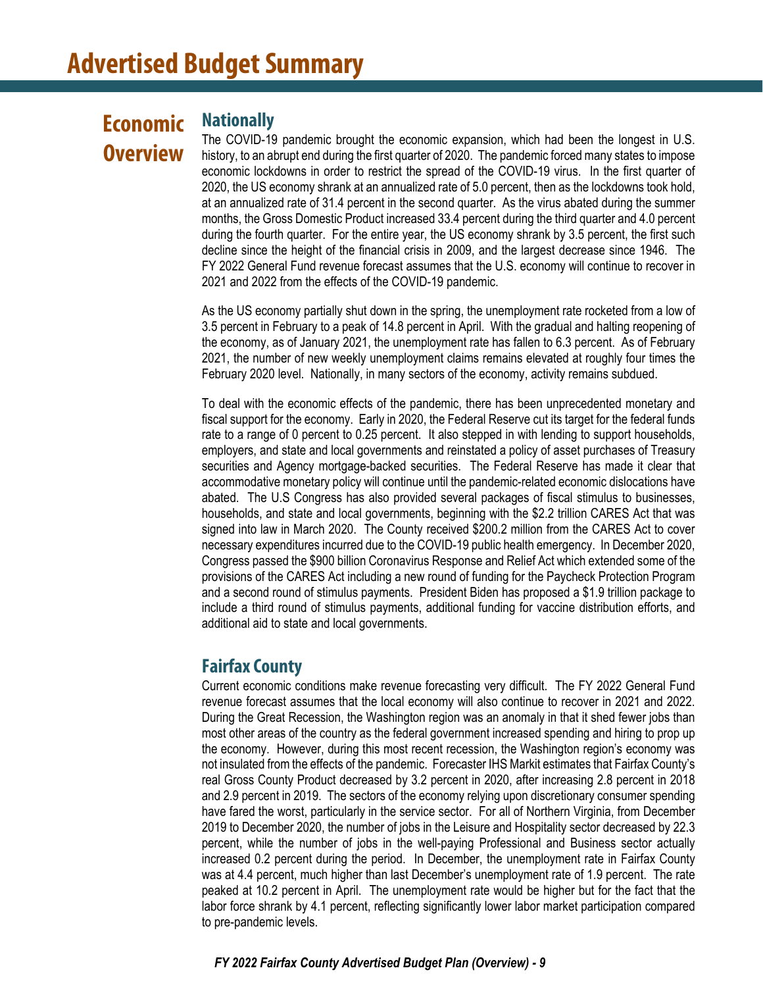# **Economic Overview**

## **Nationally**

The COVID-19 pandemic brought the economic expansion, which had been the longest in U.S. history, to an abrupt end during the first quarter of 2020. The pandemic forced many states to impose economic lockdowns in order to restrict the spread of the COVID-19 virus. In the first quarter of 2020, the US economy shrank at an annualized rate of 5.0 percent, then as the lockdowns took hold, at an annualized rate of 31.4 percent in the second quarter. As the virus abated during the summer months, the Gross Domestic Product increased 33.4 percent during the third quarter and 4.0 percent during the fourth quarter. For the entire year, the US economy shrank by 3.5 percent, the first such decline since the height of the financial crisis in 2009, and the largest decrease since 1946. The FY 2022 General Fund revenue forecast assumes that the U.S. economy will continue to recover in 2021 and 2022 from the effects of the COVID-19 pandemic.

As the US economy partially shut down in the spring, the unemployment rate rocketed from a low of 3.5 percent in February to a peak of 14.8 percent in April. With the gradual and halting reopening of the economy, as of January 2021, the unemployment rate has fallen to 6.3 percent. As of February 2021, the number of new weekly unemployment claims remains elevated at roughly four times the February 2020 level. Nationally, in many sectors of the economy, activity remains subdued.

To deal with the economic effects of the pandemic, there has been unprecedented monetary and fiscal support for the economy. Early in 2020, the Federal Reserve cut its target for the federal funds rate to a range of 0 percent to 0.25 percent. It also stepped in with lending to support households, employers, and state and local governments and reinstated a policy of asset purchases of Treasury securities and Agency mortgage-backed securities. The Federal Reserve has made it clear that accommodative monetary policy will continue until the pandemic-related economic dislocations have abated. The U.S Congress has also provided several packages of fiscal stimulus to businesses, households, and state and local governments, beginning with the \$2.2 trillion CARES Act that was signed into law in March 2020. The County received \$200.2 million from the CARES Act to cover necessary expenditures incurred due to the COVID-19 public health emergency. In December 2020, Congress passed the \$900 billion Coronavirus Response and Relief Act which extended some of the provisions of the CARES Act including a new round of funding for the Paycheck Protection Program and a second round of stimulus payments. President Biden has proposed a \$1.9 trillion package to include a third round of stimulus payments, additional funding for vaccine distribution efforts, and additional aid to state and local governments.

## **Fairfax County**

Current economic conditions make revenue forecasting very difficult. The FY 2022 General Fund revenue forecast assumes that the local economy will also continue to recover in 2021 and 2022. During the Great Recession, the Washington region was an anomaly in that it shed fewer jobs than most other areas of the country as the federal government increased spending and hiring to prop up the economy. However, during this most recent recession, the Washington region's economy was not insulated from the effects of the pandemic. Forecaster IHS Markit estimates that Fairfax County's real Gross County Product decreased by 3.2 percent in 2020, after increasing 2.8 percent in 2018 and 2.9 percent in 2019. The sectors of the economy relying upon discretionary consumer spending have fared the worst, particularly in the service sector. For all of Northern Virginia, from December 2019 to December 2020, the number of jobs in the Leisure and Hospitality sector decreased by 22.3 percent, while the number of jobs in the well-paying Professional and Business sector actually increased 0.2 percent during the period. In December, the unemployment rate in Fairfax County was at 4.4 percent, much higher than last December's unemployment rate of 1.9 percent. The rate peaked at 10.2 percent in April. The unemployment rate would be higher but for the fact that the labor force shrank by 4.1 percent, reflecting significantly lower labor market participation compared to pre-pandemic levels.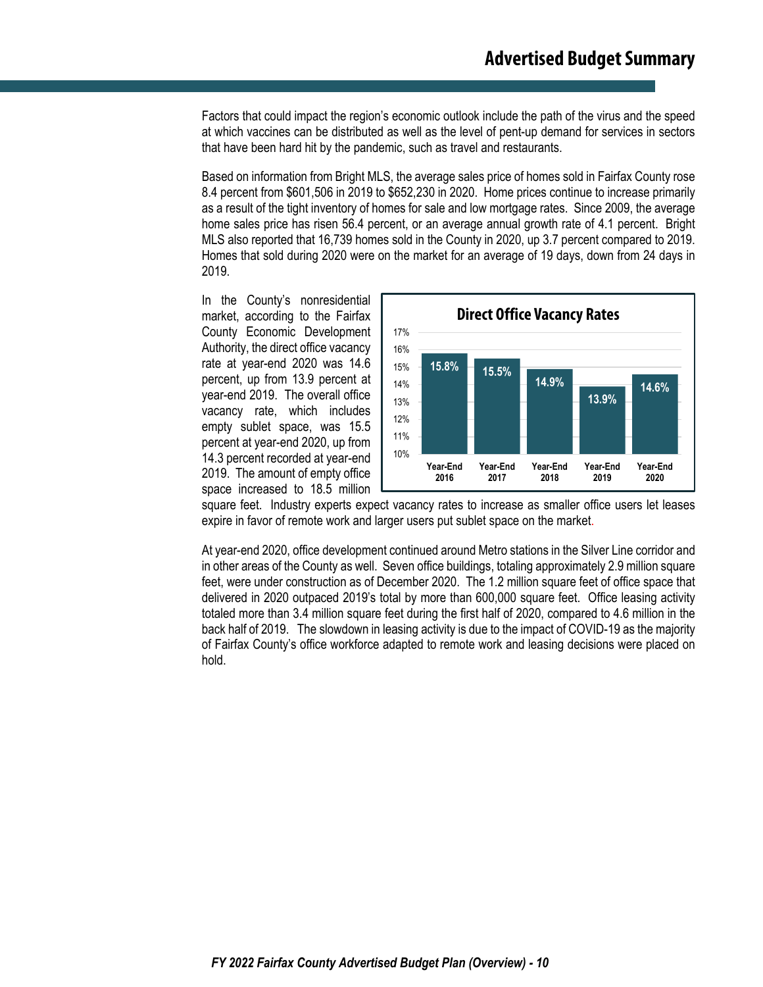Factors that could impact the region's economic outlook include the path of the virus and the speed at which vaccines can be distributed as well as the level of pent-up demand for services in sectors that have been hard hit by the pandemic, such as travel and restaurants.

Based on information from Bright MLS, the average sales price of homes sold in Fairfax County rose 8.4 percent from \$601,506 in 2019 to \$652,230 in 2020. Home prices continue to increase primarily as a result of the tight inventory of homes for sale and low mortgage rates. Since 2009, the average home sales price has risen 56.4 percent, or an average annual growth rate of 4.1 percent. Bright MLS also reported that 16,739 homes sold in the County in 2020, up 3.7 percent compared to 2019. Homes that sold during 2020 were on the market for an average of 19 days, down from 24 days in 2019.

In the County's nonresidential market, according to the Fairfax County Economic Development Authority, the direct office vacancy rate at year-end 2020 was 14.6 percent, up from 13.9 percent at year-end 2019. The overall office vacancy rate, which includes empty sublet space, was 15.5 percent at year-end 2020, up from 14.3 percent recorded at year-end 2019. The amount of empty office space increased to 18.5 million



square feet. Industry experts expect vacancy rates to increase as smaller office users let leases expire in favor of remote work and larger users put sublet space on the market.

At year-end 2020, office development continued around Metro stations in the Silver Line corridor and in other areas of the County as well. Seven office buildings, totaling approximately 2.9 million square feet, were under construction as of December 2020. The 1.2 million square feet of office space that delivered in 2020 outpaced 2019's total by more than 600,000 square feet. Office leasing activity totaled more than 3.4 million square feet during the first half of 2020, compared to 4.6 million in the back half of 2019. The slowdown in leasing activity is due to the impact of COVID-19 as the majority of Fairfax County's office workforce adapted to remote work and leasing decisions were placed on hold.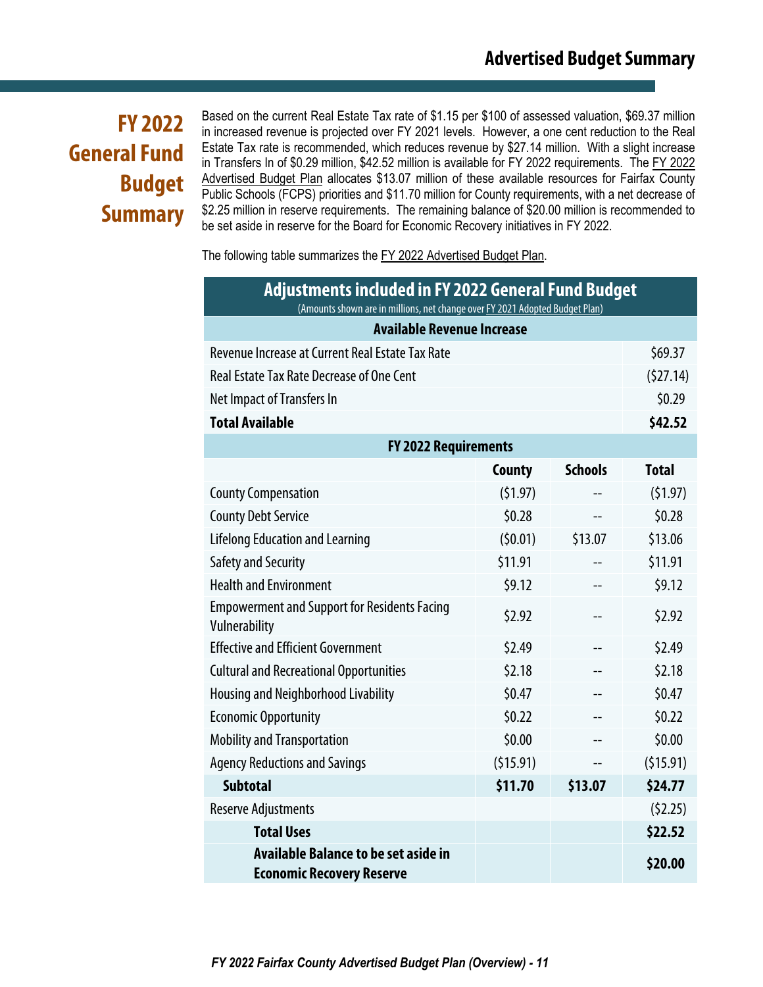# **FY 2022 General Fund Budget Summary**

Based on the current Real Estate Tax rate of \$1.15 per \$100 of assessed valuation, \$69.37 million in increased revenue is projected over FY 2021 levels. However, a one cent reduction to the Real Estate Tax rate is recommended, which reduces revenue by \$27.14 million. With a slight increase in Transfers In of \$0.29 million, \$42.52 million is available for FY 2022 requirements. The FY 2022 Advertised Budget Plan allocates \$13.07 million of these available resources for Fairfax County Public Schools (FCPS) priorities and \$11.70 million for County requirements, with a net decrease of \$2.25 million in reserve requirements. The remaining balance of \$20.00 million is recommended to be set aside in reserve for the Board for Economic Recovery initiatives in FY 2022.

The following table summarizes the FY 2022 Advertised Budget Plan.

| <b>Adjustments included in FY 2022 General Fund Budget</b><br>(Amounts shown are in millions, net change over FY 2021 Adopted Budget Plan) |          |                |              |  |  |  |
|--------------------------------------------------------------------------------------------------------------------------------------------|----------|----------------|--------------|--|--|--|
| <b>Available Revenue Increase</b>                                                                                                          |          |                |              |  |  |  |
| Revenue Increase at Current Real Estate Tax Rate                                                                                           |          |                | \$69.37      |  |  |  |
| <b>Real Estate Tax Rate Decrease of One Cent</b>                                                                                           |          |                | (527.14)     |  |  |  |
| <b>Net Impact of Transfers In</b>                                                                                                          |          |                | \$0.29       |  |  |  |
| <b>Total Available</b>                                                                                                                     |          |                | \$42.52      |  |  |  |
| <b>FY 2022 Requirements</b>                                                                                                                |          |                |              |  |  |  |
|                                                                                                                                            | County   | <b>Schools</b> | <b>Total</b> |  |  |  |
| <b>County Compensation</b>                                                                                                                 | (51.97)  |                | (51.97)      |  |  |  |
| <b>County Debt Service</b>                                                                                                                 | \$0.28   | $-$            | \$0.28       |  |  |  |
| <b>Lifelong Education and Learning</b>                                                                                                     | (50.01)  | \$13.07        | \$13.06      |  |  |  |
| Safety and Security                                                                                                                        | \$11.91  |                |              |  |  |  |
| <b>Health and Environment</b>                                                                                                              | \$9.12   |                |              |  |  |  |
| <b>Empowerment and Support for Residents Facing</b><br>Vulnerability                                                                       | \$2.92   |                |              |  |  |  |
| <b>Effective and Efficient Government</b>                                                                                                  | \$2.49   |                | \$2.49       |  |  |  |
| <b>Cultural and Recreational Opportunities</b>                                                                                             | \$2.18   |                | \$2.18       |  |  |  |
| <b>Housing and Neighborhood Livability</b>                                                                                                 | \$0.47   |                | \$0.47       |  |  |  |
| <b>Economic Opportunity</b>                                                                                                                | \$0.22   |                | \$0.22       |  |  |  |
| <b>Mobility and Transportation</b>                                                                                                         | \$0.00   |                | \$0.00       |  |  |  |
| <b>Agency Reductions and Savings</b>                                                                                                       | (515.91) | $-$            | (515.91)     |  |  |  |
| <b>Subtotal</b>                                                                                                                            | \$24.77  |                |              |  |  |  |
| <b>Reserve Adjustments</b>                                                                                                                 |          |                |              |  |  |  |
| <b>Total Uses</b><br>\$22.52                                                                                                               |          |                |              |  |  |  |
| <b>Available Balance to be set aside in</b><br><b>Economic Recovery Reserve</b>                                                            |          |                | \$20.00      |  |  |  |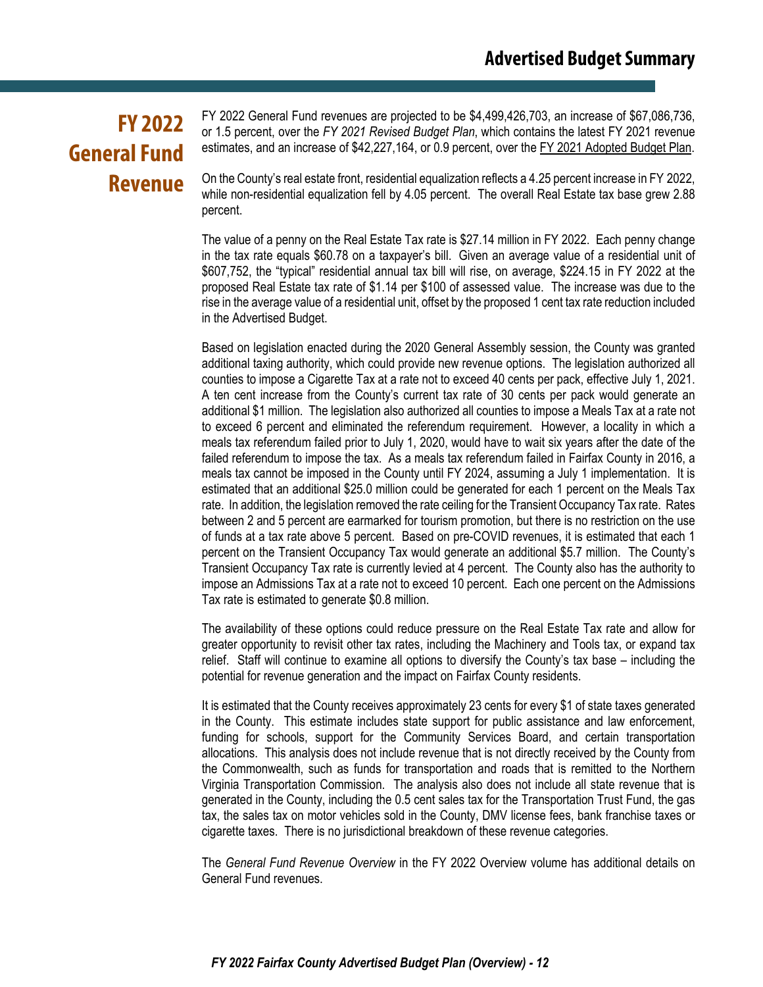# **FY 2022 General Fund Revenue**

FY 2022 General Fund revenues are projected to be \$4,499,426,703, an increase of \$67,086,736, or 1.5 percent, over the *FY 2021 Revised Budget Plan*, which contains the latest FY 2021 revenue estimates, and an increase of \$42,227,164, or 0.9 percent, over the FY 2021 Adopted Budget Plan.

On the County's real estate front, residential equalization reflects a 4.25 percent increase in FY 2022, while non-residential equalization fell by 4.05 percent. The overall Real Estate tax base grew 2.88 percent.

The value of a penny on the Real Estate Tax rate is \$27.14 million in FY 2022. Each penny change in the tax rate equals \$60.78 on a taxpayer's bill. Given an average value of a residential unit of \$607,752, the "typical" residential annual tax bill will rise, on average, \$224.15 in FY 2022 at the proposed Real Estate tax rate of \$1.14 per \$100 of assessed value. The increase was due to the rise in the average value of a residential unit, offset by the proposed 1 cent tax rate reduction included in the Advertised Budget.

Based on legislation enacted during the 2020 General Assembly session, the County was granted additional taxing authority, which could provide new revenue options. The legislation authorized all counties to impose a Cigarette Tax at a rate not to exceed 40 cents per pack, effective July 1, 2021. A ten cent increase from the County's current tax rate of 30 cents per pack would generate an additional \$1 million. The legislation also authorized all counties to impose a Meals Tax at a rate not to exceed 6 percent and eliminated the referendum requirement. However, a locality in which a meals tax referendum failed prior to July 1, 2020, would have to wait six years after the date of the failed referendum to impose the tax. As a meals tax referendum failed in Fairfax County in 2016, a meals tax cannot be imposed in the County until FY 2024, assuming a July 1 implementation. It is estimated that an additional \$25.0 million could be generated for each 1 percent on the Meals Tax rate. In addition, the legislation removed the rate ceiling for the Transient Occupancy Tax rate. Rates between 2 and 5 percent are earmarked for tourism promotion, but there is no restriction on the use of funds at a tax rate above 5 percent. Based on pre-COVID revenues, it is estimated that each 1 percent on the Transient Occupancy Tax would generate an additional \$5.7 million. The County's Transient Occupancy Tax rate is currently levied at 4 percent. The County also has the authority to impose an Admissions Tax at a rate not to exceed 10 percent. Each one percent on the Admissions Tax rate is estimated to generate \$0.8 million.

The availability of these options could reduce pressure on the Real Estate Tax rate and allow for greater opportunity to revisit other tax rates, including the Machinery and Tools tax, or expand tax relief. Staff will continue to examine all options to diversify the County's tax base – including the potential for revenue generation and the impact on Fairfax County residents.

It is estimated that the County receives approximately 23 cents for every \$1 of state taxes generated in the County. This estimate includes state support for public assistance and law enforcement, funding for schools, support for the Community Services Board, and certain transportation allocations. This analysis does not include revenue that is not directly received by the County from the Commonwealth, such as funds for transportation and roads that is remitted to the Northern Virginia Transportation Commission. The analysis also does not include all state revenue that is generated in the County, including the 0.5 cent sales tax for the Transportation Trust Fund, the gas tax, the sales tax on motor vehicles sold in the County, DMV license fees, bank franchise taxes or cigarette taxes. There is no jurisdictional breakdown of these revenue categories.

The *General Fund Revenue Overview* in the FY 2022 Overview volume has additional details on General Fund revenues.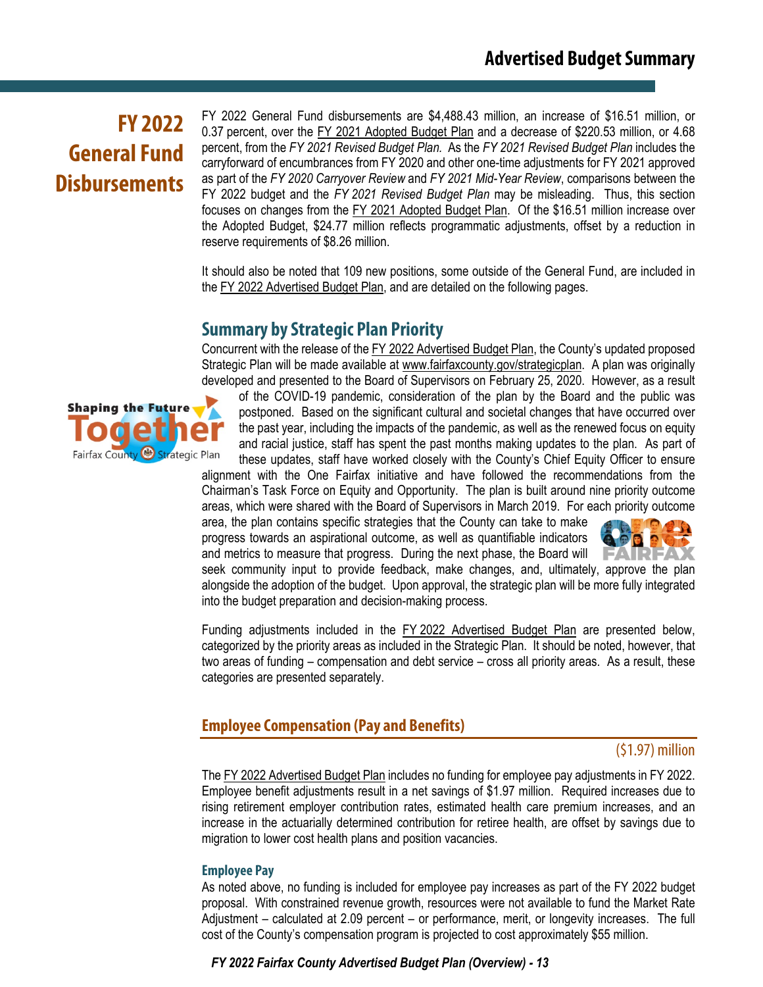# **FY 2022 General Fund Disbursements**

FY 2022 General Fund disbursements are \$4,488.43 million, an increase of \$16.51 million, or 0.37 percent, over the FY 2021 Adopted Budget Plan and a decrease of \$220.53 million, or 4.68 percent, from the *FY 2021 Revised Budget Plan.* As the *FY 2021 Revised Budget Plan* includes the carryforward of encumbrances from FY 2020 and other one-time adjustments for FY 2021 approved as part of the *FY 2020 Carryover Review* and *FY 2021 Mid-Year Review*, comparisons between the FY 2022 budget and the *FY 2021 Revised Budget Plan* may be misleading. Thus, this section focuses on changes from the FY 2021 Adopted Budget Plan. Of the \$16.51 million increase over the Adopted Budget, \$24.77 million reflects programmatic adjustments, offset by a reduction in reserve requirements of \$8.26 million.

It should also be noted that 109 new positions, some outside of the General Fund, are included in the FY 2022 Advertised Budget Plan, and are detailed on the following pages.

## **Summary by Strategic Plan Priority**

Concurrent with the release of the FY 2022 Advertised Budget Plan, the County's updated proposed Strategic Plan will be made available at [www.fairfaxcounty.gov/strategicplan.](http://www.fairfaxcounty.gov/strategic) A plan was originally developed and presented to the Board of Supervisors on February 25, 2020. However, as a result

of the COVID-19 pandemic, consideration of the plan by the Board and the public was postponed. Based on the significant cultural and societal changes that have occurred over the past year, including the impacts of the pandemic, as well as the renewed focus on equity and racial justice, staff has spent the past months making updates to the plan. As part of these updates, staff have worked closely with the County's Chief Equity Officer to ensure

alignment with the One Fairfax initiative and have followed the recommendations from the Chairman's Task Force on Equity and Opportunity. The plan is built around nine priority outcome areas, which were shared with the Board of Supervisors in March 2019. For each priority outcome

area, the plan contains specific strategies that the County can take to make progress towards an aspirational outcome, as well as quantifiable indicators and metrics to measure that progress. During the next phase, the Board will



seek community input to provide feedback, make changes, and, ultimately, approve the plan alongside the adoption of the budget. Upon approval, the strategic plan will be more fully integrated into the budget preparation and decision-making process.

Funding adjustments included in the FY 2022 Advertised Budget Plan are presented below, categorized by the priority areas as included in the Strategic Plan. It should be noted, however, that two areas of funding – compensation and debt service – cross all priority areas. As a result, these categories are presented separately.

## **Employee Compensation (Pay and Benefits)**

#### (\$1.97) million

The FY 2022 Advertised Budget Plan includes no funding for employee pay adjustments in FY 2022. Employee benefit adjustments result in a net savings of \$1.97 million. Required increases due to rising retirement employer contribution rates, estimated health care premium increases, and an increase in the actuarially determined contribution for retiree health, are offset by savings due to migration to lower cost health plans and position vacancies.

#### **Employee Pay**

As noted above, no funding is included for employee pay increases as part of the FY 2022 budget proposal. With constrained revenue growth, resources were not available to fund the Market Rate Adjustment – calculated at 2.09 percent – or performance, merit, or longevity increases. The full cost of the County's compensation program is projected to cost approximately \$55 million.

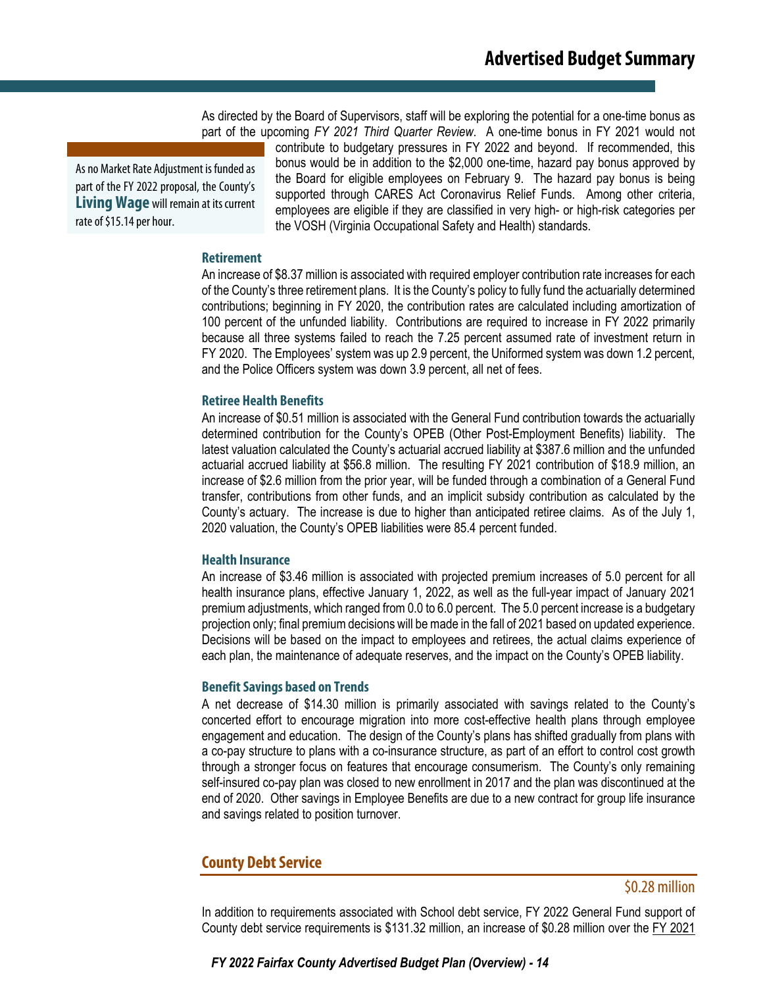As directed by the Board of Supervisors, staff will be exploring the potential for a one-time bonus as part of the upcoming *FY 2021 Third Quarter Review*. A one-time bonus in FY 2021 would not

As no Market Rate Adjustment is funded as part of the FY 2022 proposal, the County's **Living Wage** will remain at its current rate of \$15.14 per hour.

contribute to budgetary pressures in FY 2022 and beyond. If recommended, this bonus would be in addition to the \$2,000 one-time, hazard pay bonus approved by the Board for eligible employees on February 9. The hazard pay bonus is being supported through CARES Act Coronavirus Relief Funds. Among other criteria, employees are eligible if they are classified in very high- or high-risk categories per the VOSH (Virginia Occupational Safety and Health) standards.

#### **Retirement**

An increase of \$8.37 million is associated with required employer contribution rate increases for each of the County's three retirement plans. It is the County's policy to fully fund the actuarially determined contributions; beginning in FY 2020, the contribution rates are calculated including amortization of 100 percent of the unfunded liability. Contributions are required to increase in FY 2022 primarily because all three systems failed to reach the 7.25 percent assumed rate of investment return in FY 2020. The Employees' system was up 2.9 percent, the Uniformed system was down 1.2 percent, and the Police Officers system was down 3.9 percent, all net of fees.

#### **Retiree Health Benefits**

An increase of \$0.51 million is associated with the General Fund contribution towards the actuarially determined contribution for the County's OPEB (Other Post-Employment Benefits) liability. The latest valuation calculated the County's actuarial accrued liability at \$387.6 million and the unfunded actuarial accrued liability at \$56.8 million. The resulting FY 2021 contribution of \$18.9 million, an increase of \$2.6 million from the prior year, will be funded through a combination of a General Fund transfer, contributions from other funds, and an implicit subsidy contribution as calculated by the County's actuary. The increase is due to higher than anticipated retiree claims. As of the July 1, 2020 valuation, the County's OPEB liabilities were 85.4 percent funded.

#### **Health Insurance**

An increase of \$3.46 million is associated with projected premium increases of 5.0 percent for all health insurance plans, effective January 1, 2022, as well as the full-year impact of January 2021 premium adjustments, which ranged from 0.0 to 6.0 percent. The 5.0 percent increase is a budgetary projection only; final premium decisions will be made in the fall of 2021 based on updated experience. Decisions will be based on the impact to employees and retirees, the actual claims experience of each plan, the maintenance of adequate reserves, and the impact on the County's OPEB liability.

#### **Benefit Savings based on Trends**

A net decrease of \$14.30 million is primarily associated with savings related to the County's concerted effort to encourage migration into more cost-effective health plans through employee engagement and education. The design of the County's plans has shifted gradually from plans with a co-pay structure to plans with a co-insurance structure, as part of an effort to control cost growth through a stronger focus on features that encourage consumerism. The County's only remaining self-insured co-pay plan was closed to new enrollment in 2017 and the plan was discontinued at the end of 2020. Other savings in Employee Benefits are due to a new contract for group life insurance and savings related to position turnover.

### **County Debt Service**

#### \$0.28 million

In addition to requirements associated with School debt service, FY 2022 General Fund support of County debt service requirements is \$131.32 million, an increase of \$0.28 million over the FY 2021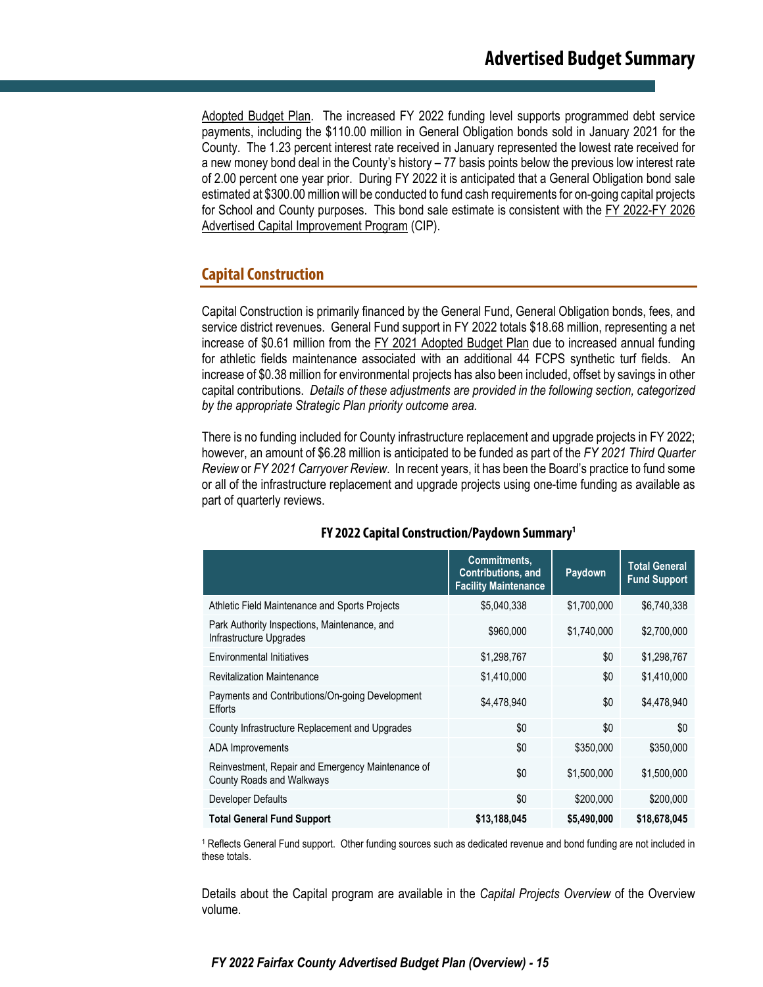Adopted Budget Plan. The increased FY 2022 funding level supports programmed debt service payments, including the \$110.00 million in General Obligation bonds sold in January 2021 for the County. The 1.23 percent interest rate received in January represented the lowest rate received for a new money bond deal in the County's history – 77 basis points below the previous low interest rate of 2.00 percent one year prior. During FY 2022 it is anticipated that a General Obligation bond sale estimated at \$300.00 million will be conducted to fund cash requirements for on-going capital projects for School and County purposes. This bond sale estimate is consistent with the FY 2022-FY 2026 Advertised Capital Improvement Program (CIP).

## **Capital Construction**

Capital Construction is primarily financed by the General Fund, General Obligation bonds, fees, and service district revenues. General Fund support in FY 2022 totals \$18.68 million, representing a net increase of \$0.61 million from the FY 2021 Adopted Budget Plan due to increased annual funding for athletic fields maintenance associated with an additional 44 FCPS synthetic turf fields. An increase of \$0.38 million for environmental projects has also been included, offset by savings in other capital contributions. *Details of these adjustments are provided in the following section, categorized by the appropriate Strategic Plan priority outcome area.*

There is no funding included for County infrastructure replacement and upgrade projects in FY 2022; however, an amount of \$6.28 million is anticipated to be funded as part of the *FY 2021 Third Quarter Review* or *FY 2021 Carryover Review*. In recent years, it has been the Board's practice to fund some or all of the infrastructure replacement and upgrade projects using one-time funding as available as part of quarterly reviews.

|                                                                                | <b>Commitments.</b><br><b>Contributions, and</b><br><b>Facility Maintenance</b> | Paydown     | <b>Total General</b><br><b>Fund Support</b> |
|--------------------------------------------------------------------------------|---------------------------------------------------------------------------------|-------------|---------------------------------------------|
| Athletic Field Maintenance and Sports Projects                                 | \$5,040,338                                                                     | \$1,700,000 | \$6,740,338                                 |
| Park Authority Inspections, Maintenance, and<br>Infrastructure Upgrades        | \$960,000                                                                       | \$1,740,000 | \$2,700,000                                 |
| <b>Environmental Initiatives</b>                                               | \$1,298,767                                                                     | \$0         | \$1,298,767                                 |
| <b>Revitalization Maintenance</b>                                              | \$1,410,000                                                                     | \$0         | \$1,410,000                                 |
| Payments and Contributions/On-going Development<br>Efforts                     | \$4,478,940                                                                     | \$0         | \$4,478,940                                 |
| County Infrastructure Replacement and Upgrades                                 | \$0                                                                             | \$0         | \$0                                         |
| ADA Improvements                                                               | \$0                                                                             | \$350,000   | \$350,000                                   |
| Reinvestment, Repair and Emergency Maintenance of<br>County Roads and Walkways | \$0                                                                             | \$1,500,000 | \$1,500,000                                 |
| Developer Defaults                                                             | \$0                                                                             | \$200,000   | \$200,000                                   |
| <b>Total General Fund Support</b>                                              | \$13,188,045                                                                    | \$5,490,000 | \$18,678,045                                |

### **FY 2022 Capital Construction/Paydown Summary1**

<sup>1</sup> Reflects General Fund support. Other funding sources such as dedicated revenue and bond funding are not included in these totals.

Details about the Capital program are available in the *Capital Projects Overview* of the Overview volume.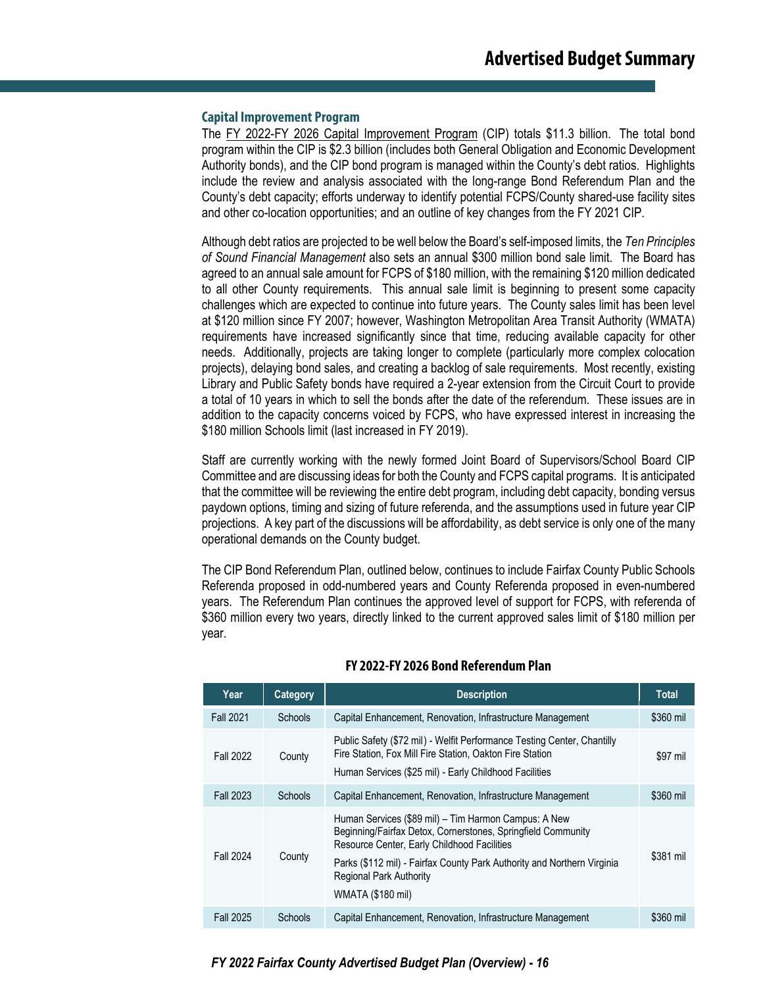#### **Capital Improvement Program**

The FY 2022-FY 2026 Capital Improvement Program (CIP) totals \$11.3 billion. The total bond program within the CIP is \$2.3 billion (includes both General Obligation and Economic Development Authority bonds), and the CIP bond program is managed within the County's debt ratios. Highlights include the review and analysis associated with the long-range Bond Referendum Plan and the County's debt capacity; efforts underway to identify potential FCPS/County shared-use facility sites and other co-location opportunities; and an outline of key changes from the FY 2021 CIP.

Although debt ratios are projected to be well below the Board's self-imposed limits, the *Ten Principles of Sound Financial Management* also sets an annual \$300 million bond sale limit. The Board has agreed to an annual sale amount for FCPS of \$180 million, with the remaining \$120 million dedicated to all other County requirements. This annual sale limit is beginning to present some capacity challenges which are expected to continue into future years. The County sales limit has been level at \$120 million since FY 2007; however, Washington Metropolitan Area Transit Authority (WMATA) requirements have increased significantly since that time, reducing available capacity for other needs. Additionally, projects are taking longer to complete (particularly more complex colocation projects), delaying bond sales, and creating a backlog of sale requirements. Most recently, existing Library and Public Safety bonds have required a 2-year extension from the Circuit Court to provide a total of 10 years in which to sell the bonds after the date of the referendum. These issues are in addition to the capacity concerns voiced by FCPS, who have expressed interest in increasing the \$180 million Schools limit (last increased in FY 2019).

Staff are currently working with the newly formed Joint Board of Supervisors/School Board CIP Committee and are discussing ideas for both the County and FCPS capital programs. It is anticipated that the committee will be reviewing the entire debt program, including debt capacity, bonding versus paydown options, timing and sizing of future referenda, and the assumptions used in future year CIP projections. A key part of the discussions will be affordability, as debt service is only one of the many operational demands on the County budget.

The CIP Bond Referendum Plan, outlined below, continues to include Fairfax County Public Schools Referenda proposed in odd-numbered years and County Referenda proposed in even-numbered years. The Referendum Plan continues the approved level of support for FCPS, with referenda of \$360 million every two years, directly linked to the current approved sales limit of \$180 million per year.

| Year             | Category | <b>Description</b>                                                                                                                                                                                                                                                                                           | <b>Total</b> |
|------------------|----------|--------------------------------------------------------------------------------------------------------------------------------------------------------------------------------------------------------------------------------------------------------------------------------------------------------------|--------------|
| <b>Fall 2021</b> | Schools  | Capital Enhancement, Renovation, Infrastructure Management                                                                                                                                                                                                                                                   | \$360 mil    |
| <b>Fall 2022</b> | County   | Public Safety (\$72 mil) - Welfit Performance Testing Center, Chantilly<br>Fire Station, Fox Mill Fire Station, Oakton Fire Station<br>Human Services (\$25 mil) - Early Childhood Facilities                                                                                                                | \$97 mil     |
| <b>Fall 2023</b> | Schools  | Capital Enhancement, Renovation, Infrastructure Management                                                                                                                                                                                                                                                   | \$360 mil    |
| Fall 2024        | County   | Human Services (\$89 mil) – Tim Harmon Campus: A New<br>Beginning/Fairfax Detox, Cornerstones, Springfield Community<br>Resource Center, Early Childhood Facilities<br>Parks (\$112 mil) - Fairfax County Park Authority and Northern Virginia<br><b>Regional Park Authority</b><br><b>WMATA (\$180 mil)</b> | \$381 mil    |
| <b>Fall 2025</b> | Schools  | Capital Enhancement, Renovation, Infrastructure Management                                                                                                                                                                                                                                                   | \$360 mil    |

#### **FY 2022-FY 2026 Bond Referendum Plan**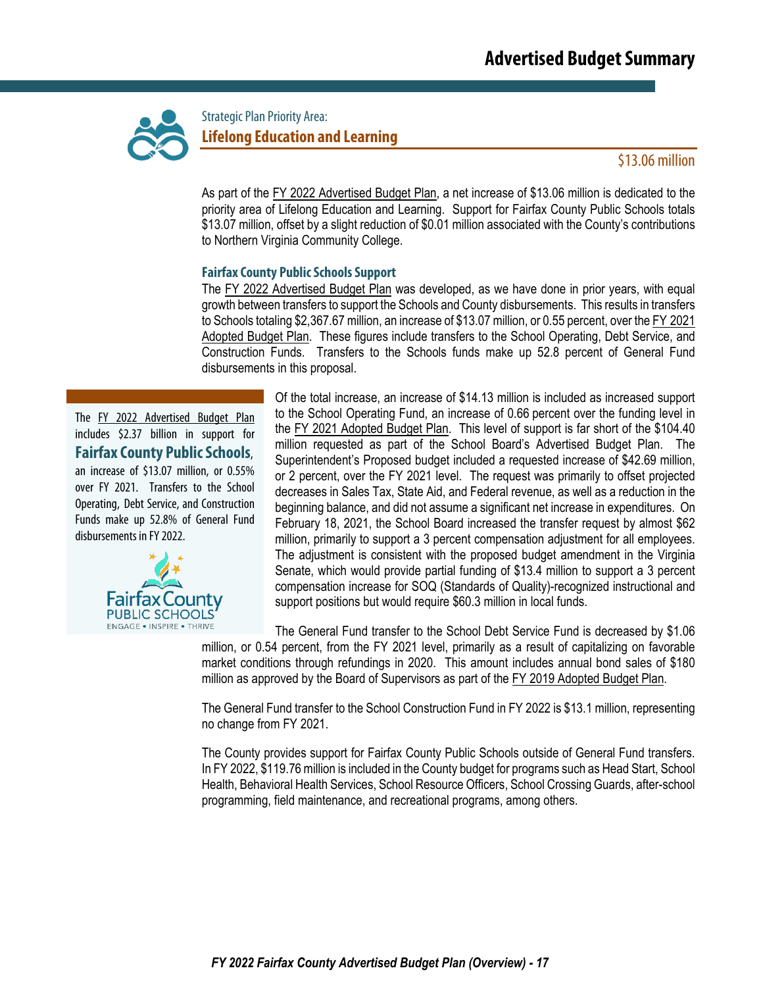

Strategic Plan Priority Area: **Lifelong Education and Learning** 

### \$13.06 million

As part of the FY 2022 Advertised Budget Plan, a net increase of \$13.06 million is dedicated to the priority area of Lifelong Education and Learning. Support for Fairfax County Public Schools totals \$13.07 million, offset by a slight reduction of \$0.01 million associated with the County's contributions to Northern Virginia Community College.

#### **Fairfax County Public SchoolsSupport**

The FY 2022 Advertised Budget Plan was developed, as we have done in prior years, with equal growth between transfers to support the Schools and County disbursements. This results in transfers to Schools totaling \$2,367.67 million, an increase of \$13.07 million, or 0.55 percent, over the FY 2021 Adopted Budget Plan. These figures include transfers to the School Operating, Debt Service, and Construction Funds. Transfers to the Schools funds make up 52.8 percent of General Fund disbursements in this proposal.

The FY 2022 Advertised Budget Plan includes \$2.37 billion in support for **FairfaxCounty PublicSchools**, an increase of \$13.07 million, or 0.55% over FY 2021. Transfers to the School Operating, Debt Service, and Construction Funds make up 52.8% of General Fund disbursements in FY 2022.



Of the total increase, an increase of \$14.13 million is included as increased support to the School Operating Fund, an increase of 0.66 percent over the funding level in the FY 2021 Adopted Budget Plan. This level of support is far short of the \$104.40 million requested as part of the School Board's Advertised Budget Plan. The Superintendent's Proposed budget included a requested increase of \$42.69 million, or 2 percent, over the FY 2021 level. The request was primarily to offset projected decreases in Sales Tax, State Aid, and Federal revenue, as well as a reduction in the beginning balance, and did not assume a significant net increase in expenditures. On February 18, 2021, the School Board increased the transfer request by almost \$62 million, primarily to support a 3 percent compensation adjustment for all employees. The adjustment is consistent with the proposed budget amendment in the Virginia Senate, which would provide partial funding of \$13.4 million to support a 3 percent compensation increase for SOQ (Standards of Quality)-recognized instructional and support positions but would require \$60.3 million in local funds.

The General Fund transfer to the School Debt Service Fund is decreased by \$1.06 million, or 0.54 percent, from the FY 2021 level, primarily as a result of capitalizing on favorable market conditions through refundings in 2020. This amount includes annual bond sales of \$180 million as approved by the Board of Supervisors as part of the FY 2019 Adopted Budget Plan.

The General Fund transfer to the School Construction Fund in FY 2022 is \$13.1 million, representing no change from FY 2021.

The County provides support for Fairfax County Public Schools outside of General Fund transfers. In FY 2022, \$119.76 million is included in the County budget for programs such as Head Start, School Health, Behavioral Health Services, School Resource Officers, School Crossing Guards, after-school programming, field maintenance, and recreational programs, among others.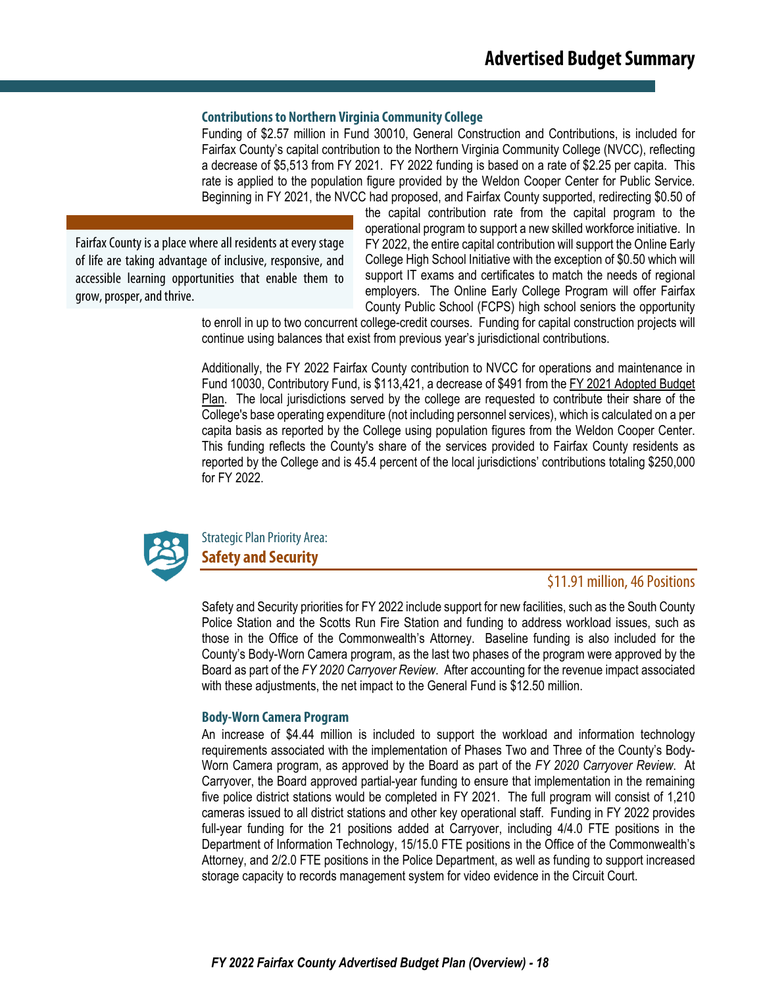#### **Contributions to Northern Virginia Community College**

Funding of \$2.57 million in Fund 30010, General Construction and Contributions, is included for Fairfax County's capital contribution to the Northern Virginia Community College (NVCC), reflecting a decrease of \$5,513 from FY 2021. FY 2022 funding is based on a rate of \$2.25 per capita. This rate is applied to the population figure provided by the Weldon Cooper Center for Public Service. Beginning in FY 2021, the NVCC had proposed, and Fairfax County supported, redirecting \$0.50 of

Fairfax County is a place where all residents at every stage of life are taking advantage of inclusive, responsive, and accessible learning opportunities that enable them to grow, prosper, and thrive.

the capital contribution rate from the capital program to the operational program to support a new skilled workforce initiative. In FY 2022, the entire capital contribution will support the Online Early College High School Initiative with the exception of \$0.50 which will support IT exams and certificates to match the needs of regional employers. The Online Early College Program will offer Fairfax County Public School (FCPS) high school seniors the opportunity

to enroll in up to two concurrent college-credit courses. Funding for capital construction projects will continue using balances that exist from previous year's jurisdictional contributions.

Additionally, the FY 2022 Fairfax County contribution to NVCC for operations and maintenance in Fund 10030, Contributory Fund, is \$113,421, a decrease of \$491 from the FY 2021 Adopted Budget Plan. The local jurisdictions served by the college are requested to contribute their share of the College's base operating expenditure (not including personnel services), which is calculated on a per capita basis as reported by the College using population figures from the Weldon Cooper Center. This funding reflects the County's share of the services provided to Fairfax County residents as reported by the College and is 45.4 percent of the local jurisdictions' contributions totaling \$250,000 for FY 2022.



Strategic Plan Priority Area: **Safety and Security** 

### \$11.91 million, 46 Positions

Safety and Security priorities for FY 2022 include support for new facilities, such as the South County Police Station and the Scotts Run Fire Station and funding to address workload issues, such as those in the Office of the Commonwealth's Attorney. Baseline funding is also included for the County's Body-Worn Camera program, as the last two phases of the program were approved by the Board as part of the *FY 2020 Carryover Review*. After accounting for the revenue impact associated with these adjustments, the net impact to the General Fund is \$12.50 million.

#### **Body-Worn Camera Program**

An increase of \$4.44 million is included to support the workload and information technology requirements associated with the implementation of Phases Two and Three of the County's Body-Worn Camera program, as approved by the Board as part of the *FY 2020 Carryover Review*. At Carryover, the Board approved partial-year funding to ensure that implementation in the remaining five police district stations would be completed in FY 2021. The full program will consist of 1,210 cameras issued to all district stations and other key operational staff. Funding in FY 2022 provides full-year funding for the 21 positions added at Carryover, including 4/4.0 FTE positions in the Department of Information Technology, 15/15.0 FTE positions in the Office of the Commonwealth's Attorney, and 2/2.0 FTE positions in the Police Department, as well as funding to support increased storage capacity to records management system for video evidence in the Circuit Court.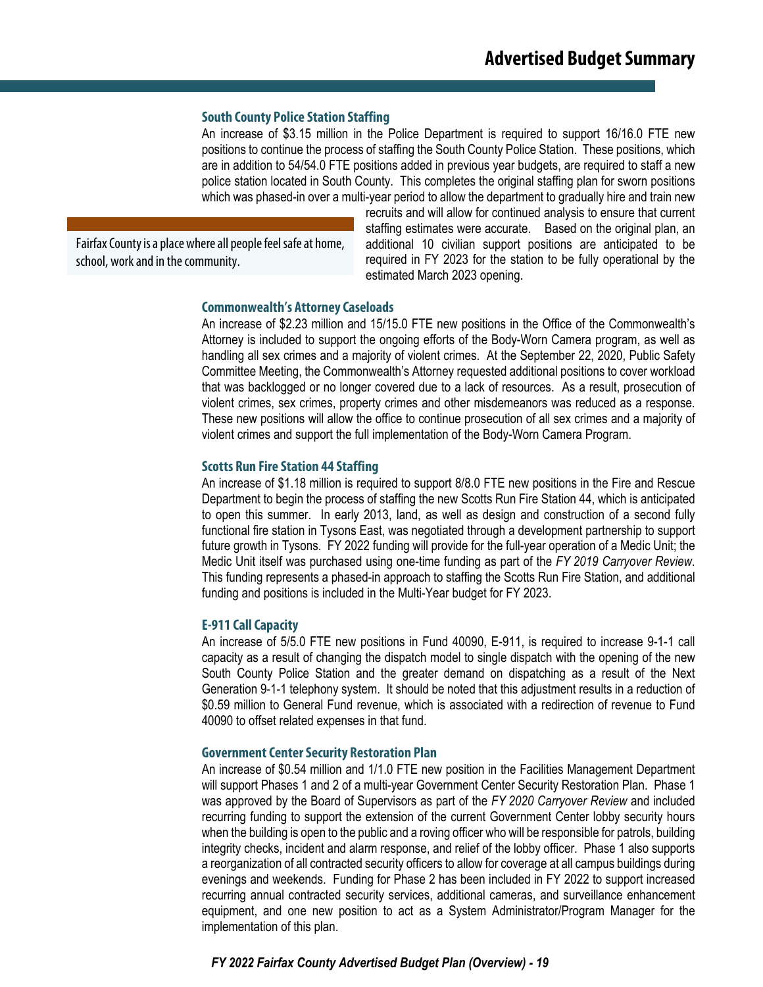#### **South County Police Station Staffing**

An increase of \$3.15 million in the Police Department is required to support 16/16.0 FTE new positions to continue the process of staffing the South County Police Station. These positions, which are in addition to 54/54.0 FTE positions added in previous year budgets, are required to staff a new police station located in South County. This completes the original staffing plan for sworn positions which was phased-in over a multi-year period to allow the department to gradually hire and train new

Fairfax County is a place where all people feel safe at home, school, work and in the community.

recruits and will allow for continued analysis to ensure that current staffing estimates were accurate. Based on the original plan, an additional 10 civilian support positions are anticipated to be required in FY 2023 for the station to be fully operational by the estimated March 2023 opening.

#### **Commonwealth's Attorney Caseloads**

An increase of \$2.23 million and 15/15.0 FTE new positions in the Office of the Commonwealth's Attorney is included to support the ongoing efforts of the Body-Worn Camera program, as well as handling all sex crimes and a majority of violent crimes. At the September 22, 2020, Public Safety Committee Meeting, the Commonwealth's Attorney requested additional positions to cover workload that was backlogged or no longer covered due to a lack of resources. As a result, prosecution of violent crimes, sex crimes, property crimes and other misdemeanors was reduced as a response. These new positions will allow the office to continue prosecution of all sex crimes and a majority of violent crimes and support the full implementation of the Body-Worn Camera Program.

#### **Scotts Run Fire Station 44 Staffing**

An increase of \$1.18 million is required to support 8/8.0 FTE new positions in the Fire and Rescue Department to begin the process of staffing the new Scotts Run Fire Station 44, which is anticipated to open this summer. In early 2013, land, as well as design and construction of a second fully functional fire station in Tysons East, was negotiated through a development partnership to support future growth in Tysons. FY 2022 funding will provide for the full-year operation of a Medic Unit; the Medic Unit itself was purchased using one-time funding as part of the *FY 2019 Carryover Review*. This funding represents a phased-in approach to staffing the Scotts Run Fire Station, and additional funding and positions is included in the Multi-Year budget for FY 2023.

#### **E-911 Call Capacity**

An increase of 5/5.0 FTE new positions in Fund 40090, E-911, is required to increase 9-1-1 call capacity as a result of changing the dispatch model to single dispatch with the opening of the new South County Police Station and the greater demand on dispatching as a result of the Next Generation 9-1-1 telephony system. It should be noted that this adjustment results in a reduction of \$0.59 million to General Fund revenue, which is associated with a redirection of revenue to Fund 40090 to offset related expenses in that fund.

#### **Government Center Security Restoration Plan**

An increase of \$0.54 million and 1/1.0 FTE new position in the Facilities Management Department will support Phases 1 and 2 of a multi-year Government Center Security Restoration Plan. Phase 1 was approved by the Board of Supervisors as part of the *FY 2020 Carryover Review* and included recurring funding to support the extension of the current Government Center lobby security hours when the building is open to the public and a roving officer who will be responsible for patrols, building integrity checks, incident and alarm response, and relief of the lobby officer. Phase 1 also supports a reorganization of all contracted security officers to allow for coverage at all campus buildings during evenings and weekends. Funding for Phase 2 has been included in FY 2022 to support increased recurring annual contracted security services, additional cameras, and surveillance enhancement equipment, and one new position to act as a System Administrator/Program Manager for the implementation of this plan.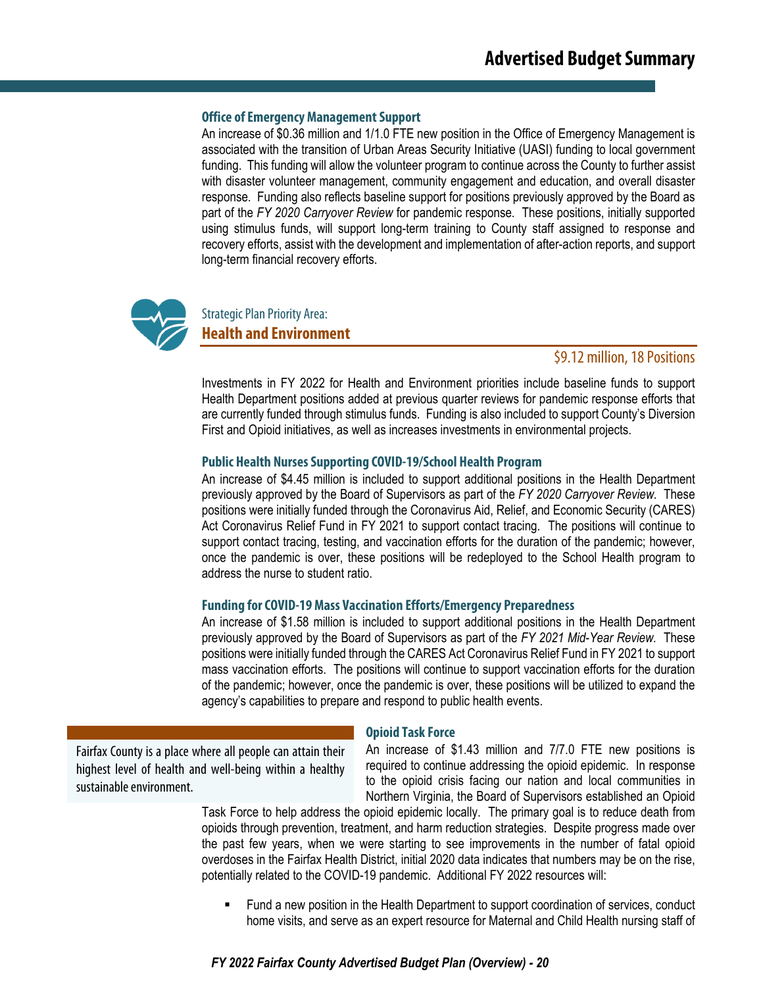#### **Office of Emergency Management Support**

An increase of \$0.36 million and 1/1.0 FTE new position in the Office of Emergency Management is associated with the transition of Urban Areas Security Initiative (UASI) funding to local government funding. This funding will allow the volunteer program to continue across the County to further assist with disaster volunteer management, community engagement and education, and overall disaster response. Funding also reflects baseline support for positions previously approved by the Board as part of the *FY 2020 Carryover Review* for pandemic response. These positions, initially supported using stimulus funds, will support long-term training to County staff assigned to response and recovery efforts, assist with the development and implementation of after-action reports, and support long-term financial recovery efforts.



Strategic Plan Priority Area:

**Health and Environment**

#### \$9.12 million, 18Positions

Investments in FY 2022 for Health and Environment priorities include baseline funds to support Health Department positions added at previous quarter reviews for pandemic response efforts that are currently funded through stimulus funds. Funding is also included to support County's Diversion First and Opioid initiatives, as well as increases investments in environmental projects.

#### **Public Health Nurses Supporting COVID-19/School Health Program**

An increase of \$4.45 million is included to support additional positions in the Health Department previously approved by the Board of Supervisors as part of the *FY 2020 Carryover Review.* These positions were initially funded through the Coronavirus Aid, Relief, and Economic Security (CARES) Act Coronavirus Relief Fund in FY 2021 to support contact tracing. The positions will continue to support contact tracing, testing, and vaccination efforts for the duration of the pandemic; however, once the pandemic is over, these positions will be redeployed to the School Health program to address the nurse to student ratio.

#### **Funding for COVID-19 Mass Vaccination Efforts/Emergency Preparedness**

An increase of \$1.58 million is included to support additional positions in the Health Department previously approved by the Board of Supervisors as part of the *FY 2021 Mid-Year Review.* These positions were initially funded through the CARES Act Coronavirus Relief Fund in FY 2021 to support mass vaccination efforts. The positions will continue to support vaccination efforts for the duration of the pandemic; however, once the pandemic is over, these positions will be utilized to expand the agency's capabilities to prepare and respond to public health events.

Fairfax County is a place where all people can attain their highest level of health and well-being within a healthy sustainable environment.

#### **Opioid Task Force**

An increase of \$1.43 million and 7/7.0 FTE new positions is required to continue addressing the opioid epidemic. In response to the opioid crisis facing our nation and local communities in Northern Virginia, the Board of Supervisors established an Opioid

Task Force to help address the opioid epidemic locally. The primary goal is to reduce death from opioids through prevention, treatment, and harm reduction strategies. Despite progress made over the past few years, when we were starting to see improvements in the number of fatal opioid overdoses in the Fairfax Health District, initial 2020 data indicates that numbers may be on the rise, potentially related to the COVID-19 pandemic.Additional FY 2022 resources will:

 Fund a new position in the Health Department to support coordination of services, conduct home visits, and serve as an expert resource for Maternal and Child Health nursing staff of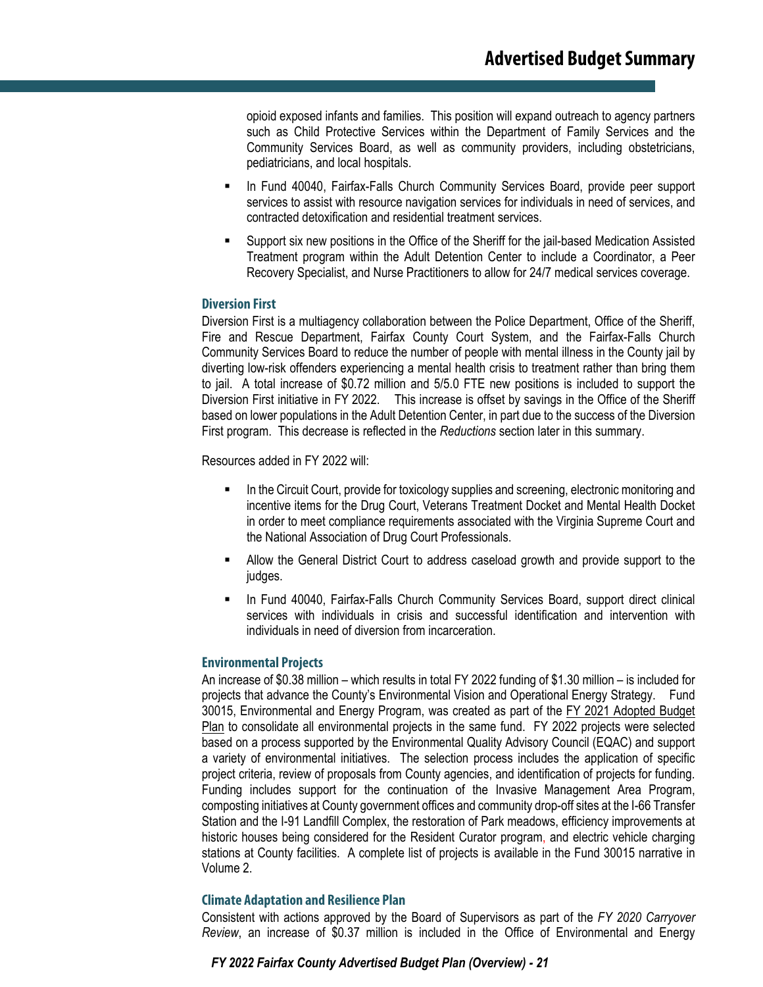opioid exposed infants and families. This position will expand outreach to agency partners such as Child Protective Services within the Department of Family Services and the Community Services Board, as well as community providers, including obstetricians, pediatricians, and local hospitals.

- In Fund 40040, Fairfax-Falls Church Community Services Board, provide peer support services to assist with resource navigation services for individuals in need of services, and contracted detoxification and residential treatment services.
- Support six new positions in the Office of the Sheriff for the jail-based Medication Assisted Treatment program within the Adult Detention Center to include a Coordinator, a Peer Recovery Specialist, and Nurse Practitioners to allow for 24/7 medical services coverage.

#### **Diversion First**

Diversion First is a multiagency collaboration between the Police Department, Office of the Sheriff, Fire and Rescue Department, Fairfax County Court System, and the Fairfax-Falls Church Community Services Board to reduce the number of people with mental illness in the County jail by diverting low-risk offenders experiencing a mental health crisis to treatment rather than bring them to jail. A total increase of \$0.72 million and 5/5.0 FTE new positions is included to support the Diversion First initiative in FY 2022. This increase is offset by savings in the Office of the Sheriff based on lower populations in the Adult Detention Center, in part due to the success of the Diversion First program. This decrease is reflected in the *Reductions* section later in this summary.

Resources added in FY 2022 will:

- In the Circuit Court, provide for toxicology supplies and screening, electronic monitoring and incentive items for the Drug Court, Veterans Treatment Docket and Mental Health Docket in order to meet compliance requirements associated with the Virginia Supreme Court and the National Association of Drug Court Professionals.
- Allow the General District Court to address caseload growth and provide support to the judges.
- In Fund 40040, Fairfax-Falls Church Community Services Board, support direct clinical services with individuals in crisis and successful identification and intervention with individuals in need of diversion from incarceration.

#### **Environmental Projects**

An increase of \$0.38 million – which results in total FY 2022 funding of \$1.30 million – is included for projects that advance the County's Environmental Vision and Operational Energy Strategy. Fund 30015, Environmental and Energy Program, was created as part of the FY 2021 Adopted Budget Plan to consolidate all environmental projects in the same fund. FY 2022 projects were selected based on a process supported by the Environmental Quality Advisory Council (EQAC) and support a variety of environmental initiatives. The selection process includes the application of specific project criteria, review of proposals from County agencies, and identification of projects for funding. Funding includes support for the continuation of the Invasive Management Area Program, composting initiatives at County government offices and community drop-off sites at the I-66 Transfer Station and the I-91 Landfill Complex, the restoration of Park meadows, efficiency improvements at historic houses being considered for the Resident Curator program, and electric vehicle charging stations at County facilities. A complete list of projects is available in the Fund 30015 narrative in Volume 2.

#### **Climate Adaptation and Resilience Plan**

Consistent with actions approved by the Board of Supervisors as part of the *FY 2020 Carryover Review*, an increase of \$0.37 million is included in the Office of Environmental and Energy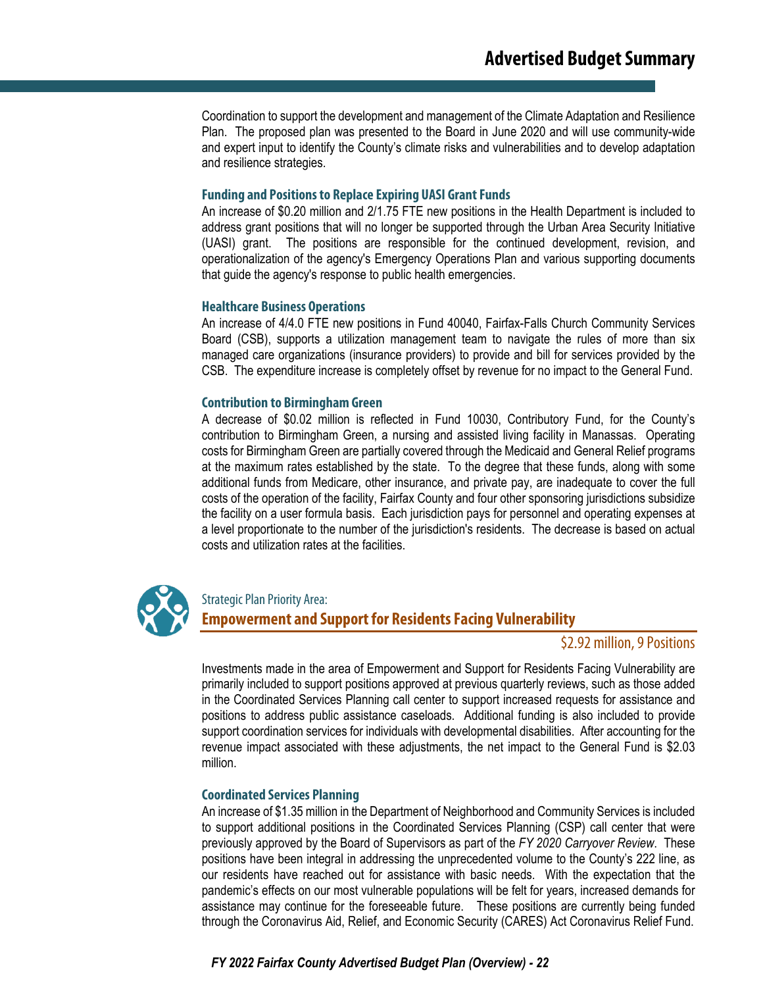Coordination to support the development and management of the Climate Adaptation and Resilience Plan. The proposed plan was presented to the Board in June 2020 and will use community-wide and expert input to identify the County's climate risks and vulnerabilities and to develop adaptation and resilience strategies.

#### **Funding and Positions to Replace Expiring UASI Grant Funds**

An increase of \$0.20 million and 2/1.75 FTE new positions in the Health Department is included to address grant positions that will no longer be supported through the Urban Area Security Initiative (UASI) grant. The positions are responsible for the continued development, revision, and operationalization of the agency's Emergency Operations Plan and various supporting documents that guide the agency's response to public health emergencies.

#### **Healthcare Business Operations**

An increase of 4/4.0 FTE new positions in Fund 40040, Fairfax-Falls Church Community Services Board (CSB), supports a utilization management team to navigate the rules of more than six managed care organizations (insurance providers) to provide and bill for services provided by the CSB. The expenditure increase is completely offset by revenue for no impact to the General Fund.

#### **Contribution to Birmingham Green**

A decrease of \$0.02 million is reflected in Fund 10030, Contributory Fund, for the County's contribution to Birmingham Green, a nursing and assisted living facility in Manassas. Operating costs for Birmingham Green are partially covered through the Medicaid and General Relief programs at the maximum rates established by the state. To the degree that these funds, along with some additional funds from Medicare, other insurance, and private pay, are inadequate to cover the full costs of the operation of the facility, Fairfax County and four other sponsoring jurisdictions subsidize the facility on a user formula basis. Each jurisdiction pays for personnel and operating expenses at a level proportionate to the number of the jurisdiction's residents. The decrease is based on actual costs and utilization rates at the facilities.



#### Strategic Plan Priority Area:

## **Empowerment and Support for Residents Facing Vulnerability**

### \$2.92 million, 9 Positions

Investments made in the area of Empowerment and Support for Residents Facing Vulnerability are primarily included to support positions approved at previous quarterly reviews, such as those added in the Coordinated Services Planning call center to support increased requests for assistance and positions to address public assistance caseloads. Additional funding is also included to provide support coordination services for individuals with developmental disabilities. After accounting for the revenue impact associated with these adjustments, the net impact to the General Fund is \$2.03 million.

#### **Coordinated Services Planning**

An increase of \$1.35 million in the Department of Neighborhood and Community Services is included to support additional positions in the Coordinated Services Planning (CSP) call center that were previously approved by the Board of Supervisors as part of the *FY 2020 Carryover Review*. These positions have been integral in addressing the unprecedented volume to the County's 222 line, as our residents have reached out for assistance with basic needs. With the expectation that the pandemic's effects on our most vulnerable populations will be felt for years, increased demands for assistance may continue for the foreseeable future. These positions are currently being funded through the Coronavirus Aid, Relief, and Economic Security (CARES) Act Coronavirus Relief Fund.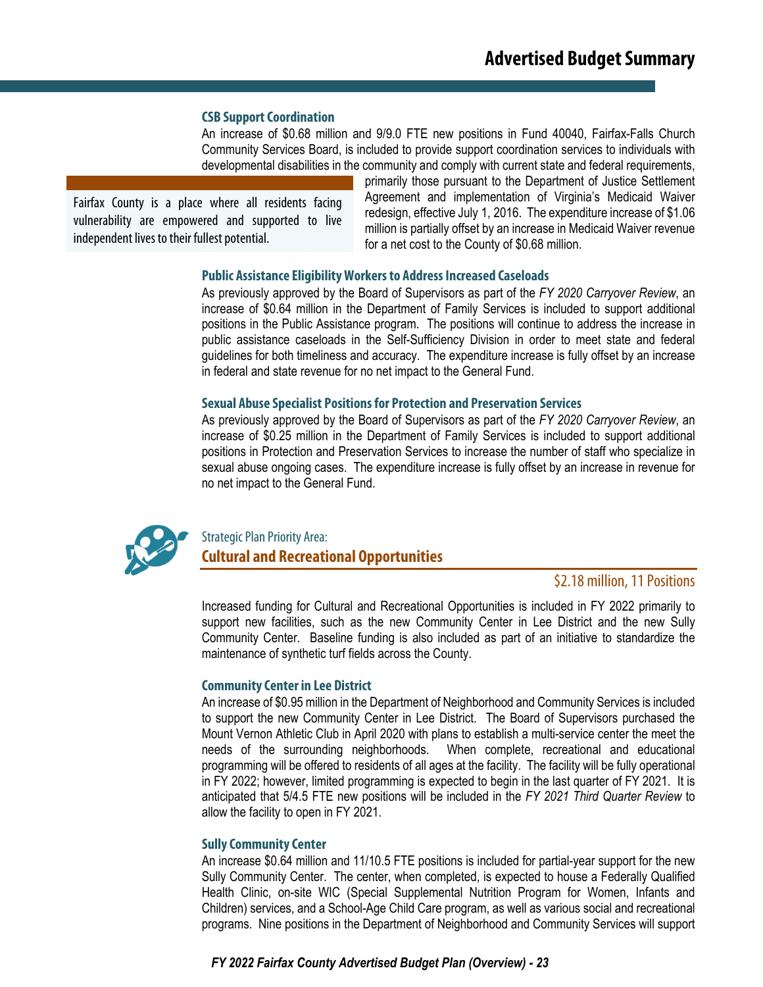#### **CSB Support Coordination**

An increase of \$0.68 million and 9/9.0 FTE new positions in Fund 40040, Fairfax-Falls Church Community Services Board, is included to provide support coordination services to individuals with developmental disabilities in the community and comply with current state and federal requirements,

Fairfax County is a place where all residents facing vulnerability are empowered and supported to live independent lives to their fullest potential.

primarily those pursuant to the Department of Justice Settlement Agreement and implementation of Virginia's Medicaid Waiver redesign, effective July 1, 2016. The expenditure increase of \$1.06 million is partially offset by an increase in Medicaid Waiver revenue for a net cost to the County of \$0.68 million.

#### **Public Assistance Eligibility Workers to Address Increased Caseloads**

As previously approved by the Board of Supervisors as part of the *FY 2020 Carryover Review*, an increase of \$0.64 million in the Department of Family Services is included to support additional positions in the Public Assistance program. The positions will continue to address the increase in public assistance caseloads in the Self-Sufficiency Division in order to meet state and federal guidelines for both timeliness and accuracy. The expenditure increase is fully offset by an increase in federal and state revenue for no net impact to the General Fund.

#### **Sexual Abuse Specialist Positions for Protection and Preservation Services**

As previously approved by the Board of Supervisors as part of the *FY 2020 Carryover Review*, an increase of \$0.25 million in the Department of Family Services is included to support additional positions in Protection and Preservation Services to increase the number of staff who specialize in sexual abuse ongoing cases. The expenditure increase is fully offset by an increase in revenue for no net impact to the General Fund.



## Strategic Plan Priority Area: **Cultural and Recreational Opportunities**

### \$2.18 million, 11 Positions

Increased funding for Cultural and Recreational Opportunities is included in FY 2022 primarily to support new facilities, such as the new Community Center in Lee District and the new Sully Community Center. Baseline funding is also included as part of an initiative to standardize the maintenance of synthetic turf fields across the County.

#### **Community Center in Lee District**

An increase of \$0.95 million in the Department of Neighborhood and Community Services is included to support the new Community Center in Lee District. The Board of Supervisors purchased the Mount Vernon Athletic Club in April 2020 with plans to establish a multi-service center the meet the needs of the surrounding neighborhoods. When complete, recreational and educational programming will be offered to residents of all ages at the facility. The facility will be fully operational in FY 2022; however, limited programming is expected to begin in the last quarter of FY 2021. It is anticipated that 5/4.5 FTE new positions will be included in the *FY 2021 Third Quarter Review* to allow the facility to open in FY 2021.

#### **Sully Community Center**

An increase \$0.64 million and 11/10.5 FTE positions is included for partial-year support for the new Sully Community Center. The center, when completed, is expected to house a Federally Qualified Health Clinic, on-site WIC (Special Supplemental Nutrition Program for Women, Infants and Children) services, and a School-Age Child Care program, as well as various social and recreational programs. Nine positions in the Department of Neighborhood and Community Services will support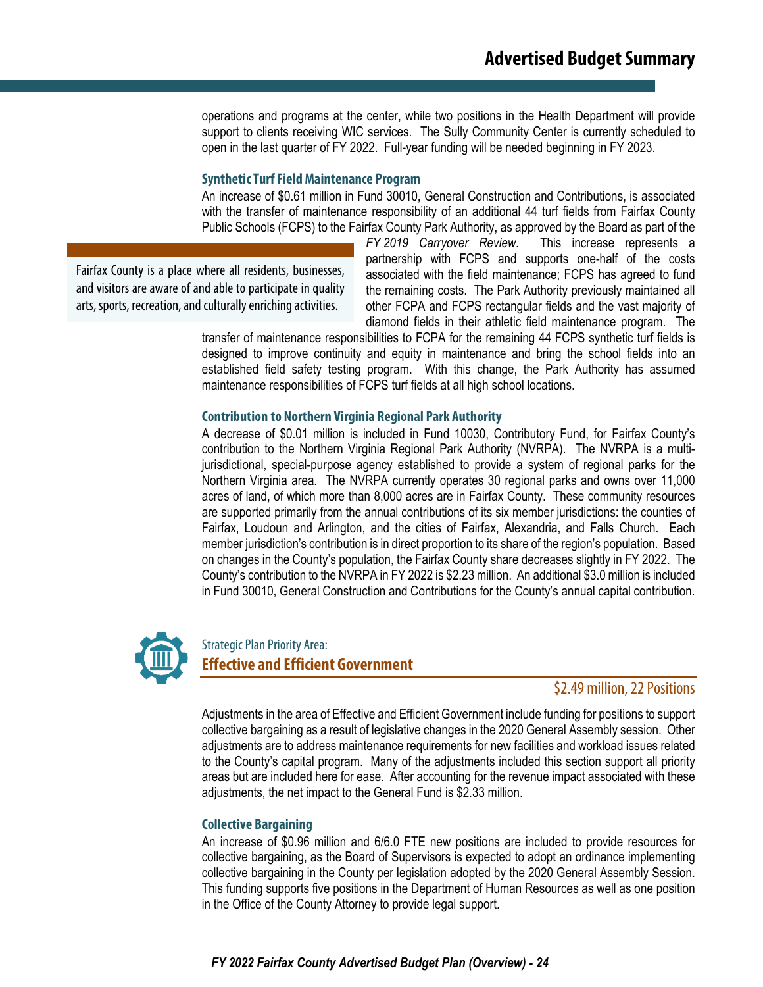operations and programs at the center, while two positions in the Health Department will provide support to clients receiving WIC services. The Sully Community Center is currently scheduled to open in the last quarter of FY 2022. Full-year funding will be needed beginning in FY 2023.

#### **Synthetic Turf Field Maintenance Program**

An increase of \$0.61 million in Fund 30010, General Construction and Contributions, is associated with the transfer of maintenance responsibility of an additional 44 turf fields from Fairfax County Public Schools (FCPS) to the Fairfax County Park Authority, as approved by the Board as part of the

Fairfax County is a place where all residents, businesses, and visitors are aware of and able to participate in quality arts, sports, recreation, and culturally enriching activities.

*FY 2019 Carryover Review*. This increase represents a partnership with FCPS and supports one-half of the costs associated with the field maintenance; FCPS has agreed to fund the remaining costs. The Park Authority previously maintained all other FCPA and FCPS rectangular fields and the vast majority of diamond fields in their athletic field maintenance program. The

transfer of maintenance responsibilities to FCPA for the remaining 44 FCPS synthetic turf fields is designed to improve continuity and equity in maintenance and bring the school fields into an established field safety testing program. With this change, the Park Authority has assumed maintenance responsibilities of FCPS turf fields at all high school locations.

#### **Contribution to Northern Virginia Regional Park Authority**

A decrease of \$0.01 million is included in Fund 10030, Contributory Fund, for Fairfax County's contribution to the Northern Virginia Regional Park Authority (NVRPA). The NVRPA is a multijurisdictional, special-purpose agency established to provide a system of regional parks for the Northern Virginia area. The NVRPA currently operates 30 regional parks and owns over 11,000 acres of land, of which more than 8,000 acres are in Fairfax County. These community resources are supported primarily from the annual contributions of its six member jurisdictions: the counties of Fairfax, Loudoun and Arlington, and the cities of Fairfax, Alexandria, and Falls Church. Each member jurisdiction's contribution is in direct proportion to its share of the region's population. Based on changes in the County's population, the Fairfax County share decreases slightly in FY 2022. The County's contribution to the NVRPA in FY 2022 is \$2.23 million. An additional \$3.0 million is included in Fund 30010, General Construction and Contributions for the County's annual capital contribution.



## Strategic Plan Priority Area: **Effective and Efficient Government**

#### \$2.49 million, 22 Positions

Adjustments in the area of Effective and Efficient Government include funding for positions to support collective bargaining as a result of legislative changes in the 2020 General Assembly session. Other adjustments are to address maintenance requirements for new facilities and workload issues related to the County's capital program. Many of the adjustments included this section support all priority areas but are included here for ease. After accounting for the revenue impact associated with these adjustments, the net impact to the General Fund is \$2.33 million.

#### **Collective Bargaining**

An increase of \$0.96 million and 6/6.0 FTE new positions are included to provide resources for collective bargaining, as the Board of Supervisors is expected to adopt an ordinance implementing collective bargaining in the County per legislation adopted by the 2020 General Assembly Session. This funding supports five positions in the Department of Human Resources as well as one position in the Office of the County Attorney to provide legal support.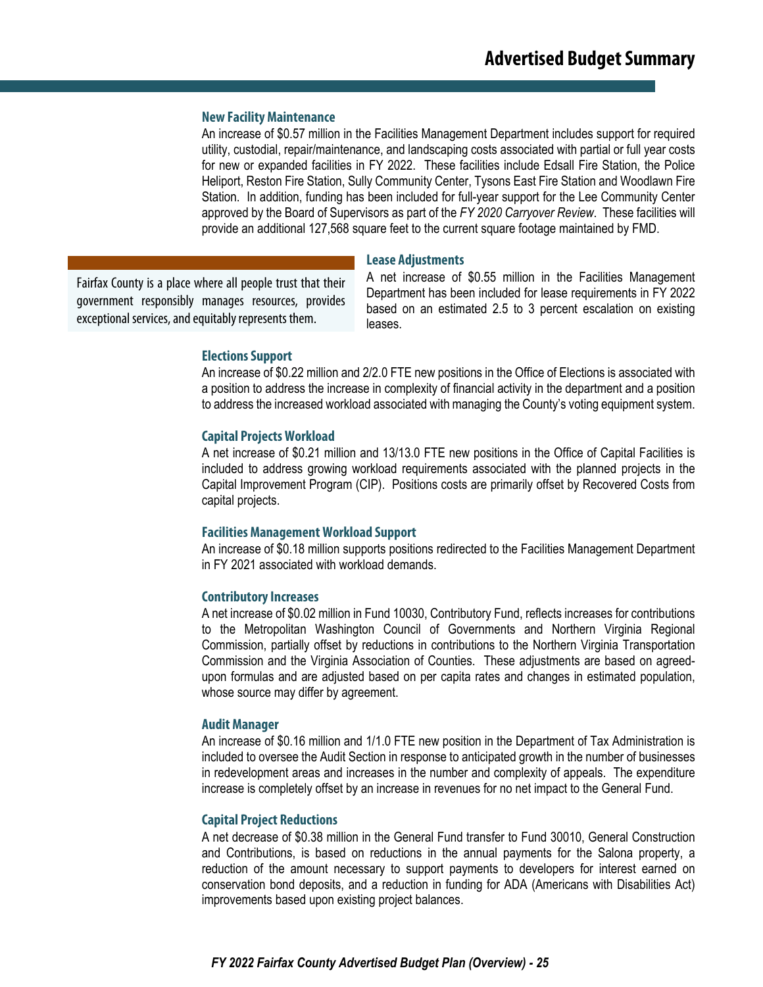#### **New Facility Maintenance**

An increase of \$0.57 million in the Facilities Management Department includes support for required utility, custodial, repair/maintenance, and landscaping costs associated with partial or full year costs for new or expanded facilities in FY 2022. These facilities include Edsall Fire Station, the Police Heliport, Reston Fire Station, Sully Community Center, Tysons East Fire Station and Woodlawn Fire Station. In addition, funding has been included for full-year support for the Lee Community Center approved by the Board of Supervisors as part of the *FY 2020 Carryover Review*. These facilities will provide an additional 127,568 square feet to the current square footage maintained by FMD.

**Lease Adjustments**

Fairfax County is a place where all people trust that their government responsibly manages resources, provides exceptional services, and equitably represents them.

A net increase of \$0.55 million in the Facilities Management Department has been included for lease requirements in FY 2022 based on an estimated 2.5 to 3 percent escalation on existing leases.

#### **Elections Support**

An increase of \$0.22 million and 2/2.0 FTE new positions in the Office of Elections is associated with a position to address the increase in complexity of financial activity in the department and a position to address the increased workload associated with managing the County's voting equipment system.

#### **Capital Projects Workload**

A net increase of \$0.21 million and 13/13.0 FTE new positions in the Office of Capital Facilities is included to address growing workload requirements associated with the planned projects in the Capital Improvement Program (CIP). Positions costs are primarily offset by Recovered Costs from capital projects.

#### **Facilities Management Workload Support**

An increase of \$0.18 million supports positions redirected to the Facilities Management Department in FY 2021 associated with workload demands.

#### **Contributory Increases**

A net increase of \$0.02 million in Fund 10030, Contributory Fund, reflects increases for contributions to the Metropolitan Washington Council of Governments and Northern Virginia Regional Commission, partially offset by reductions in contributions to the Northern Virginia Transportation Commission and the Virginia Association of Counties. These adjustments are based on agreedupon formulas and are adjusted based on per capita rates and changes in estimated population, whose source may differ by agreement.

#### **Audit Manager**

An increase of \$0.16 million and 1/1.0 FTE new position in the Department of Tax Administration is included to oversee the Audit Section in response to anticipated growth in the number of businesses in redevelopment areas and increases in the number and complexity of appeals. The expenditure increase is completely offset by an increase in revenues for no net impact to the General Fund.

#### **Capital Project Reductions**

A net decrease of \$0.38 million in the General Fund transfer to Fund 30010, General Construction and Contributions, is based on reductions in the annual payments for the Salona property, a reduction of the amount necessary to support payments to developers for interest earned on conservation bond deposits, and a reduction in funding for ADA (Americans with Disabilities Act) improvements based upon existing project balances.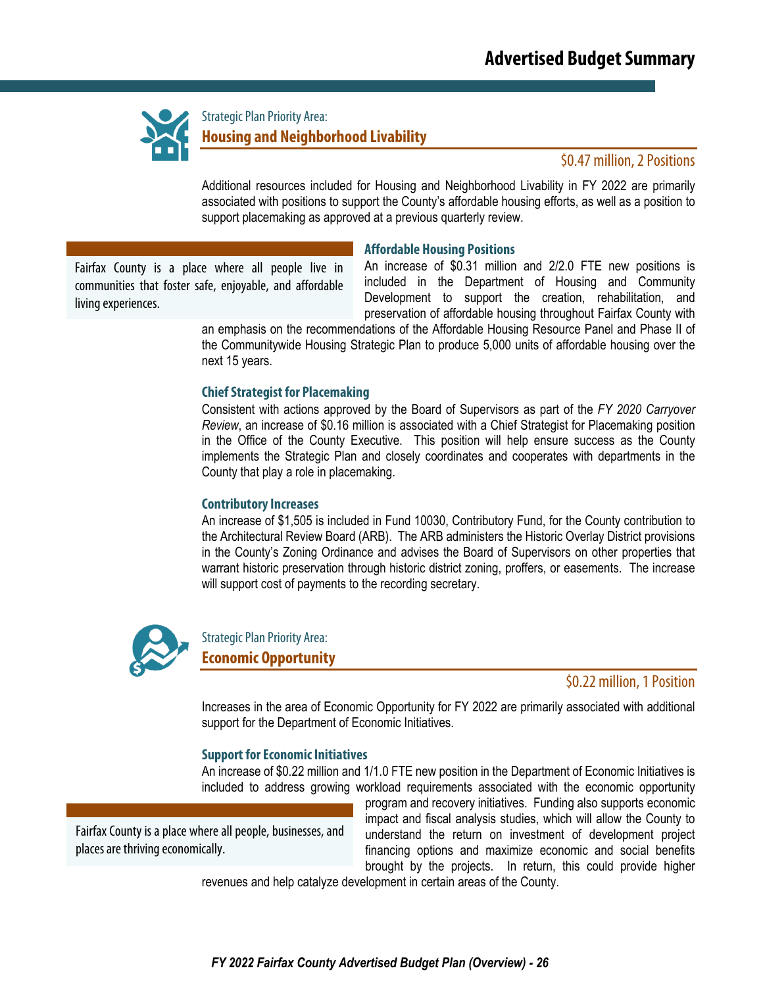

Strategic Plan Priority Area: **Housing and Neighborhood Livability**

### \$0.47 million, 2 Positions

Additional resources included for Housing and Neighborhood Livability in FY 2022 are primarily associated with positions to support the County's affordable housing efforts, as well as a position to support placemaking as approved at a previous quarterly review.

#### **Affordable Housing Positions**

Fairfax County is a place where all people live in communities that foster safe, enjoyable, and affordable living experiences.

An increase of \$0.31 million and 2/2.0 FTE new positions is included in the Department of Housing and Community Development to support the creation, rehabilitation, and preservation of affordable housing throughout Fairfax County with

an emphasis on the recommendations of the Affordable Housing Resource Panel and Phase II of the Communitywide Housing Strategic Plan to produce 5,000 units of affordable housing over the next 15 years.

#### **Chief Strategist for Placemaking**

Consistent with actions approved by the Board of Supervisors as part of the *FY 2020 Carryover Review*, an increase of \$0.16 million is associated with a Chief Strategist for Placemaking position in the Office of the County Executive. This position will help ensure success as the County implements the Strategic Plan and closely coordinates and cooperates with departments in the County that play a role in placemaking.

#### **Contributory Increases**

An increase of \$1,505 is included in Fund 10030, Contributory Fund, for the County contribution to the Architectural Review Board (ARB). The ARB administers the Historic Overlay District provisions in the County's Zoning Ordinance and advises the Board of Supervisors on other properties that warrant historic preservation through historic district zoning, proffers, or easements. The increase will support cost of payments to the recording secretary.



Strategic Plan Priority Area: **Economic Opportunity**

\$0.22 million, 1 Position

Increases in the area of Economic Opportunity for FY 2022 are primarily associated with additional support for the Department of Economic Initiatives.

#### **Support for Economic Initiatives**

An increase of \$0.22 million and 1/1.0 FTE new position in the Department of Economic Initiatives is included to address growing workload requirements associated with the economic opportunity

Fairfax County is a place where all people, businesses, and places are thriving economically.

program and recovery initiatives. Funding also supports economic impact and fiscal analysis studies, which will allow the County to understand the return on investment of development project financing options and maximize economic and social benefits brought by the projects. In return, this could provide higher

revenues and help catalyze development in certain areas of the County.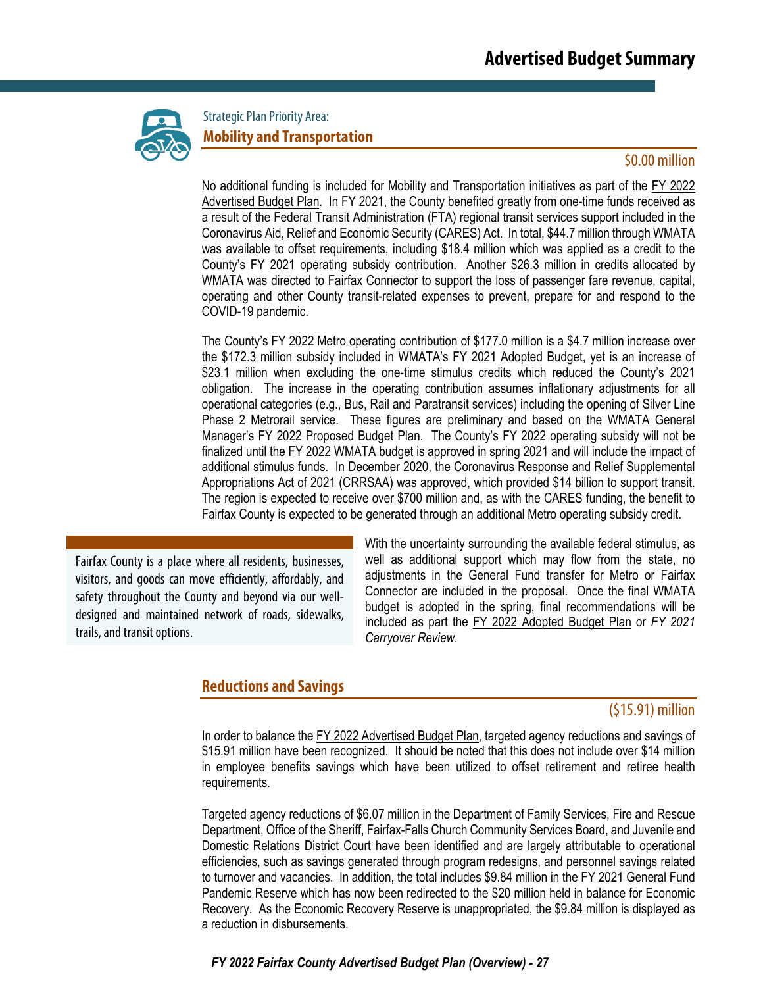

Strategic Plan Priority Area: **Mobility and Transportation**

#### \$0.00 million

No additional funding is included for Mobility and Transportation initiatives as part of the FY 2022 Advertised Budget Plan. In FY 2021, the County benefited greatly from one-time funds received as a result of the Federal Transit Administration (FTA) regional transit services support included in the Coronavirus Aid, Relief and Economic Security (CARES) Act. In total, \$44.7 million through WMATA was available to offset requirements, including \$18.4 million which was applied as a credit to the County's FY 2021 operating subsidy contribution. Another \$26.3 million in credits allocated by WMATA was directed to Fairfax Connector to support the loss of passenger fare revenue, capital, operating and other County transit-related expenses to prevent, prepare for and respond to the COVID-19 pandemic.

The County's FY 2022 Metro operating contribution of \$177.0 million is a \$4.7 million increase over the \$172.3 million subsidy included in WMATA's FY 2021 Adopted Budget, yet is an increase of \$23.1 million when excluding the one-time stimulus credits which reduced the County's 2021 obligation. The increase in the operating contribution assumes inflationary adjustments for all operational categories (e.g., Bus, Rail and Paratransit services) including the opening of Silver Line Phase 2 Metrorail service. These figures are preliminary and based on the WMATA General Manager's FY 2022 Proposed Budget Plan. The County's FY 2022 operating subsidy will not be finalized until the FY 2022 WMATA budget is approved in spring 2021 and will include the impact of additional stimulus funds. In December 2020, the Coronavirus Response and Relief Supplemental Appropriations Act of 2021 (CRRSAA) was approved, which provided \$14 billion to support transit. The region is expected to receive over \$700 million and, as with the CARES funding, the benefit to Fairfax County is expected to be generated through an additional Metro operating subsidy credit.

Fairfax County is a place where all residents, businesses, visitors, and goods can move efficiently, affordably, and safety throughout the County and beyond via our welldesigned and maintained network of roads, sidewalks, trails, and transit options.

With the uncertainty surrounding the available federal stimulus, as well as additional support which may flow from the state, no adjustments in the General Fund transfer for Metro or Fairfax Connector are included in the proposal. Once the final WMATA budget is adopted in the spring, final recommendations will be included as part the FY 2022 Adopted Budget Plan or *FY 2021 Carryover Review*.

## **Reductions and Savings**

### (\$15.91) million

In order to balance the FY 2022 Advertised Budget Plan, targeted agency reductions and savings of \$15.91 million have been recognized. It should be noted that this does not include over \$14 million in employee benefits savings which have been utilized to offset retirement and retiree health requirements.

Targeted agency reductions of \$6.07 million in the Department of Family Services, Fire and Rescue Department, Office of the Sheriff, Fairfax-Falls Church Community Services Board, and Juvenile and Domestic Relations District Court have been identified and are largely attributable to operational efficiencies, such as savings generated through program redesigns, and personnel savings related to turnover and vacancies. In addition, the total includes \$9.84 million in the FY 2021 General Fund Pandemic Reserve which has now been redirected to the \$20 million held in balance for Economic Recovery. As the Economic Recovery Reserve is unappropriated, the \$9.84 million is displayed as a reduction in disbursements.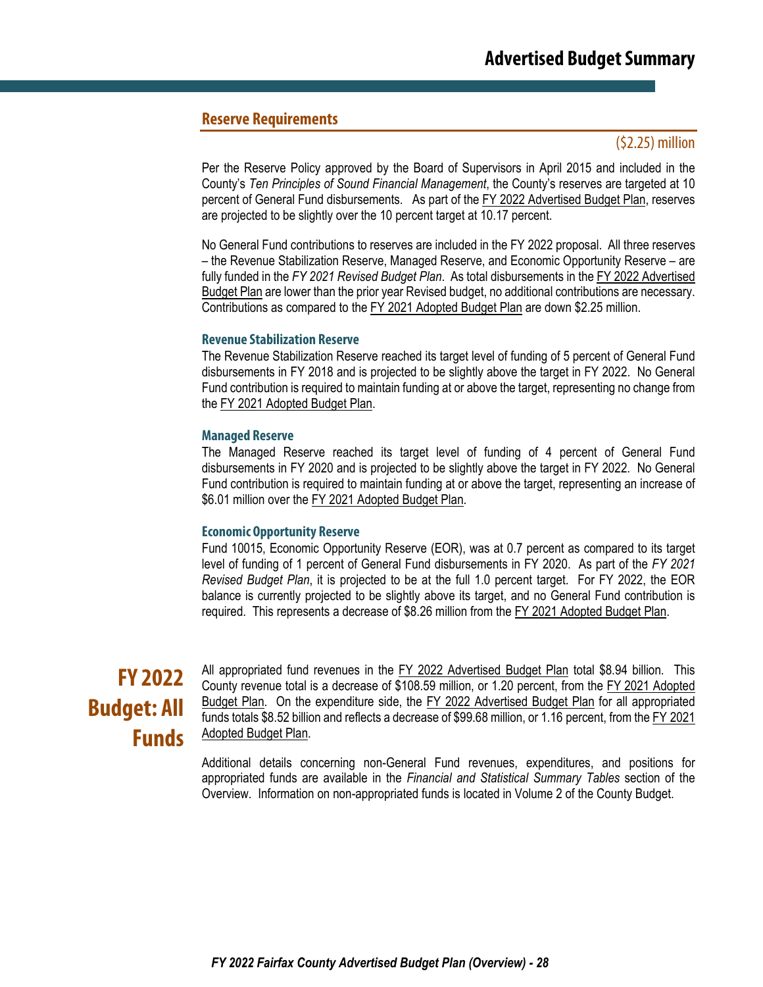## **Reserve Requirements**

### (\$2.25) million

Per the Reserve Policy approved by the Board of Supervisors in April 2015 and included in the County's *Ten Principles of Sound Financial Management*, the County's reserves are targeted at 10 percent of General Fund disbursements. As part of the FY 2022 Advertised Budget Plan, reserves are projected to be slightly over the 10 percent target at 10.17 percent.

No General Fund contributions to reserves are included in the FY 2022 proposal. All three reserves – the Revenue Stabilization Reserve, Managed Reserve, and Economic Opportunity Reserve – are fully funded in the *FY 2021 Revised Budget Plan*. As total disbursements in the FY 2022 Advertised Budget Plan are lower than the prior year Revised budget, no additional contributions are necessary. Contributions as compared to the FY 2021 Adopted Budget Plan are down \$2.25 million.

#### **Revenue Stabilization Reserve**

The Revenue Stabilization Reserve reached its target level of funding of 5 percent of General Fund disbursements in FY 2018 and is projected to be slightly above the target in FY 2022. No General Fund contribution is required to maintain funding at or above the target, representing no change from the FY 2021 Adopted Budget Plan.

#### **Managed Reserve**

The Managed Reserve reached its target level of funding of 4 percent of General Fund disbursements in FY 2020 and is projected to be slightly above the target in FY 2022. No General Fund contribution is required to maintain funding at or above the target, representing an increase of \$6.01 million over the FY 2021 Adopted Budget Plan.

#### **Economic Opportunity Reserve**

Fund 10015, Economic Opportunity Reserve (EOR), was at 0.7 percent as compared to its target level of funding of 1 percent of General Fund disbursements in FY 2020. As part of the *FY 2021 Revised Budget Plan*, it is projected to be at the full 1.0 percent target. For FY 2022, the EOR balance is currently projected to be slightly above its target, and no General Fund contribution is required. This represents a decrease of \$8.26 million from the FY 2021 Adopted Budget Plan.

# **FY 2022 Budget: All Funds**

All appropriated fund revenues in the FY 2022 Advertised Budget Plan total \$8.94 billion. This County revenue total is a decrease of \$108.59 million, or 1.20 percent, from the FY 2021 Adopted Budget Plan. On the expenditure side, the FY 2022 Advertised Budget Plan for all appropriated funds totals \$8.52 billion and reflects a decrease of \$99.68 million, or 1.16 percent, from the FY 2021 Adopted Budget Plan.

Additional details concerning non-General Fund revenues, expenditures, and positions for appropriated funds are available in the *Financial and Statistical Summary Tables* section of the Overview. Information on non-appropriated funds is located in Volume 2 of the County Budget.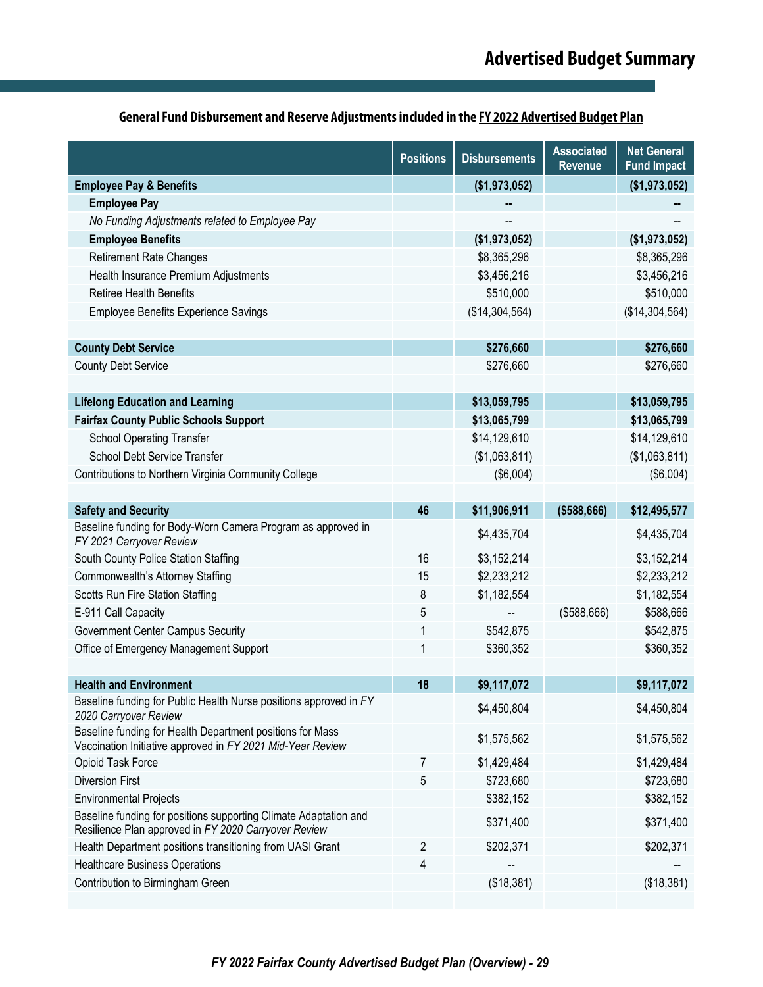|                                                                                                                          | <b>Positions</b> | <b>Disbursements</b> | <b>Associated</b><br>Revenue | <b>Net General</b><br><b>Fund Impact</b> |
|--------------------------------------------------------------------------------------------------------------------------|------------------|----------------------|------------------------------|------------------------------------------|
| <b>Employee Pay &amp; Benefits</b>                                                                                       |                  | (\$1,973,052)        |                              | (\$1,973,052)                            |
| <b>Employee Pay</b>                                                                                                      |                  | н.                   |                              |                                          |
| No Funding Adjustments related to Employee Pay                                                                           |                  |                      |                              |                                          |
| <b>Employee Benefits</b>                                                                                                 |                  | (\$1,973,052)        |                              | (\$1,973,052)                            |
| <b>Retirement Rate Changes</b>                                                                                           |                  | \$8,365,296          |                              | \$8,365,296                              |
| Health Insurance Premium Adjustments                                                                                     |                  | \$3,456,216          |                              | \$3,456,216                              |
| <b>Retiree Health Benefits</b>                                                                                           |                  | \$510,000            |                              | \$510,000                                |
| <b>Employee Benefits Experience Savings</b>                                                                              |                  | (\$14,304,564)       |                              | (\$14,304,564)                           |
|                                                                                                                          |                  |                      |                              |                                          |
| <b>County Debt Service</b>                                                                                               |                  | \$276,660            |                              | \$276,660                                |
| <b>County Debt Service</b>                                                                                               |                  | \$276,660            |                              | \$276,660                                |
|                                                                                                                          |                  |                      |                              |                                          |
| <b>Lifelong Education and Learning</b>                                                                                   |                  | \$13,059,795         |                              | \$13,059,795                             |
| <b>Fairfax County Public Schools Support</b>                                                                             |                  | \$13,065,799         |                              | \$13,065,799                             |
| <b>School Operating Transfer</b>                                                                                         |                  | \$14,129,610         |                              | \$14,129,610                             |
| School Debt Service Transfer                                                                                             |                  | (\$1,063,811)        |                              | (\$1,063,811)                            |
| Contributions to Northern Virginia Community College                                                                     |                  | (\$6,004)            |                              | (\$6,004)                                |
|                                                                                                                          |                  |                      |                              |                                          |
| <b>Safety and Security</b>                                                                                               | 46               | \$11,906,911         | ( \$588, 666)                | \$12,495,577                             |
| Baseline funding for Body-Worn Camera Program as approved in<br>FY 2021 Carryover Review                                 |                  | \$4,435,704          |                              | \$4,435,704                              |
| South County Police Station Staffing                                                                                     | 16               | \$3,152,214          |                              | \$3,152,214                              |
| Commonwealth's Attorney Staffing                                                                                         | 15               | \$2,233,212          |                              | \$2,233,212                              |
| Scotts Run Fire Station Staffing                                                                                         | 8                | \$1,182,554          |                              | \$1,182,554                              |
| E-911 Call Capacity                                                                                                      | 5                |                      | ( \$588, 666)                | \$588,666                                |
| <b>Government Center Campus Security</b>                                                                                 | 1                | \$542,875            |                              | \$542,875                                |
| Office of Emergency Management Support                                                                                   | 1                | \$360,352            |                              | \$360,352                                |
|                                                                                                                          |                  |                      |                              |                                          |
| <b>Health and Environment</b>                                                                                            | 18               | \$9,117,072          |                              | \$9,117,072                              |
| Baseline funding for Public Health Nurse positions approved in FY<br>2020 Carryover Review                               |                  | \$4,450,804          |                              | \$4,450,804                              |
| Baseline funding for Health Department positions for Mass<br>Vaccination Initiative approved in FY 2021 Mid-Year Review  |                  | \$1,575,562          |                              | \$1,575,562                              |
| Opioid Task Force                                                                                                        | 7                | \$1,429,484          |                              | \$1,429,484                              |
| <b>Diversion First</b>                                                                                                   | 5                | \$723,680            |                              | \$723,680                                |
| <b>Environmental Projects</b>                                                                                            |                  | \$382,152            |                              | \$382,152                                |
| Baseline funding for positions supporting Climate Adaptation and<br>Resilience Plan approved in FY 2020 Carryover Review |                  | \$371,400            |                              | \$371,400                                |
| Health Department positions transitioning from UASI Grant                                                                | 2                | \$202,371            |                              | \$202,371                                |
| <b>Healthcare Business Operations</b>                                                                                    | 4                |                      |                              |                                          |
| Contribution to Birmingham Green                                                                                         |                  | (\$18,381)           |                              | (\$18,381)                               |
|                                                                                                                          |                  |                      |                              |                                          |

## **General Fund Disbursement and Reserve Adjustments included in the FY 2022 Advertised Budget Plan**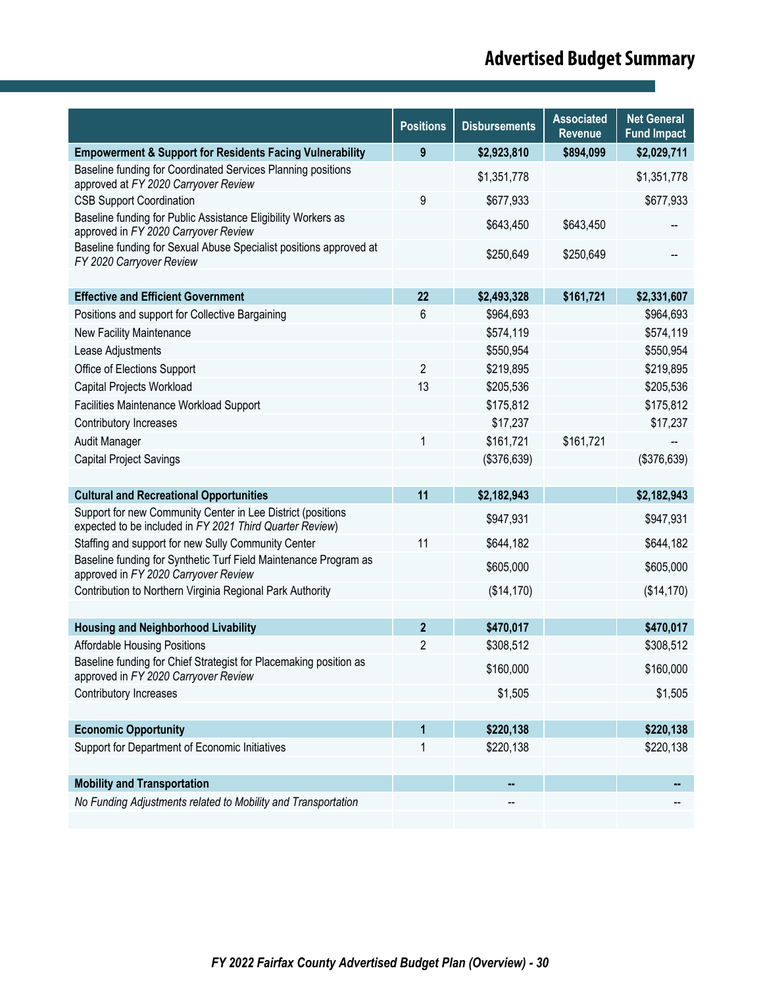# **Advertised Budget Summary**

|                                                                                                                         | <b>Positions</b> | <b>Disbursements</b> | <b>Associated</b> | <b>Net General</b> |
|-------------------------------------------------------------------------------------------------------------------------|------------------|----------------------|-------------------|--------------------|
|                                                                                                                         |                  |                      | <b>Revenue</b>    | <b>Fund Impact</b> |
| <b>Empowerment &amp; Support for Residents Facing Vulnerability</b>                                                     | 9                | \$2,923,810          | \$894,099         | \$2,029,711        |
| Baseline funding for Coordinated Services Planning positions<br>approved at FY 2020 Carryover Review                    |                  | \$1,351,778          |                   | \$1,351,778        |
| <b>CSB Support Coordination</b>                                                                                         | 9                | \$677,933            |                   | \$677,933          |
| Baseline funding for Public Assistance Eligibility Workers as<br>approved in FY 2020 Carryover Review                   |                  | \$643,450            | \$643,450         |                    |
| Baseline funding for Sexual Abuse Specialist positions approved at<br>FY 2020 Carryover Review                          |                  | \$250,649            | \$250,649         |                    |
|                                                                                                                         |                  |                      |                   |                    |
| <b>Effective and Efficient Government</b>                                                                               | 22               | \$2,493,328          | \$161,721         | \$2,331,607        |
| Positions and support for Collective Bargaining                                                                         | 6                | \$964,693            |                   | \$964,693          |
| New Facility Maintenance                                                                                                |                  | \$574,119            |                   | \$574,119          |
| Lease Adjustments                                                                                                       |                  | \$550,954            |                   | \$550,954          |
| Office of Elections Support                                                                                             | $\overline{2}$   | \$219,895            |                   | \$219,895          |
| Capital Projects Workload                                                                                               | 13               | \$205,536            |                   | \$205,536          |
| Facilities Maintenance Workload Support                                                                                 |                  | \$175,812            |                   | \$175,812          |
| Contributory Increases                                                                                                  |                  | \$17,237             |                   | \$17,237           |
| Audit Manager                                                                                                           | 1                | \$161,721            | \$161,721         |                    |
| Capital Project Savings                                                                                                 |                  | (\$376,639)          |                   | (\$376,639)        |
|                                                                                                                         |                  |                      |                   |                    |
| <b>Cultural and Recreational Opportunities</b>                                                                          | 11               | \$2,182,943          |                   | \$2,182,943        |
| Support for new Community Center in Lee District (positions<br>expected to be included in FY 2021 Third Quarter Review) |                  | \$947,931            |                   | \$947,931          |
| Staffing and support for new Sully Community Center                                                                     | 11               | \$644,182            |                   | \$644,182          |
| Baseline funding for Synthetic Turf Field Maintenance Program as<br>approved in FY 2020 Carryover Review                |                  | \$605,000            |                   | \$605,000          |
| Contribution to Northern Virginia Regional Park Authority                                                               |                  | (\$14,170)           |                   | (\$14, 170)        |
|                                                                                                                         |                  |                      |                   |                    |
| <b>Housing and Neighborhood Livability</b>                                                                              | $\boldsymbol{2}$ | \$470,017            |                   | \$470,017          |
| <b>Affordable Housing Positions</b>                                                                                     | $\overline{2}$   | \$308,512            |                   | \$308,512          |
| Baseline funding for Chief Strategist for Placemaking position as<br>approved in FY 2020 Carryover Review               |                  | \$160,000            |                   | \$160,000          |
| Contributory Increases                                                                                                  |                  | \$1,505              |                   | \$1,505            |
|                                                                                                                         |                  |                      |                   |                    |
| <b>Economic Opportunity</b>                                                                                             | 1                | \$220,138            |                   | \$220,138          |
| Support for Department of Economic Initiatives                                                                          | 1                | \$220,138            |                   | \$220,138          |
|                                                                                                                         |                  |                      |                   |                    |
| <b>Mobility and Transportation</b>                                                                                      |                  |                      |                   |                    |
| No Funding Adjustments related to Mobility and Transportation                                                           |                  |                      |                   |                    |
|                                                                                                                         |                  |                      |                   |                    |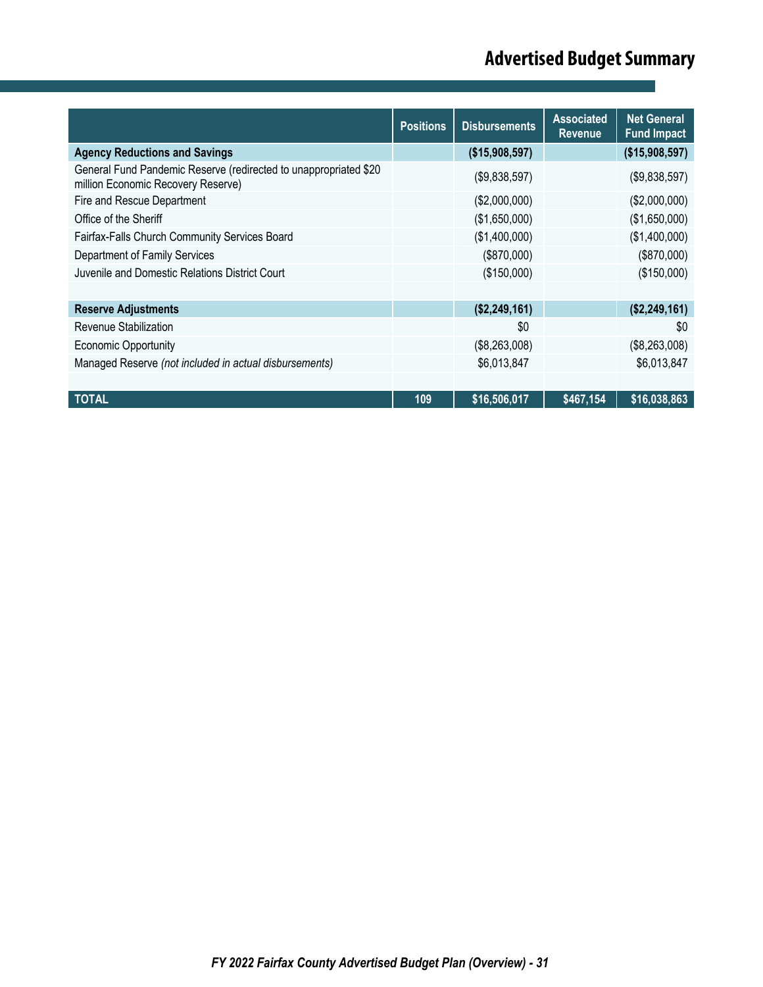# **Advertised Budget Summary**

|                                                                                                        | <b>Positions</b> | <b>Disbursements</b> | <b>Associated</b><br><b>Revenue</b> | <b>Net General</b><br><b>Fund Impact</b> |
|--------------------------------------------------------------------------------------------------------|------------------|----------------------|-------------------------------------|------------------------------------------|
| <b>Agency Reductions and Savings</b>                                                                   |                  | (\$15,908,597)       |                                     | (\$15,908,597)                           |
| General Fund Pandemic Reserve (redirected to unappropriated \$20<br>million Economic Recovery Reserve) |                  | (\$9,838,597)        |                                     | (\$9,838,597)                            |
| Fire and Rescue Department                                                                             |                  | (\$2,000,000)        |                                     | (\$2,000,000)                            |
| Office of the Sheriff                                                                                  |                  | (\$1,650,000)        |                                     | (\$1,650,000)                            |
| Fairfax-Falls Church Community Services Board                                                          |                  | (\$1,400,000)        |                                     | (\$1,400,000)                            |
| Department of Family Services                                                                          |                  | (\$870,000)          |                                     | (\$870,000)                              |
| Juvenile and Domestic Relations District Court                                                         |                  | (\$150,000)          |                                     | (\$150,000)                              |
|                                                                                                        |                  |                      |                                     |                                          |
| <b>Reserve Adjustments</b>                                                                             |                  | (\$2,249,161)        |                                     | (\$2,249,161)                            |
| Revenue Stabilization                                                                                  |                  | \$0                  |                                     | \$0                                      |
| <b>Economic Opportunity</b>                                                                            |                  | (\$8,263,008)        |                                     | (\$8,263,008)                            |
| Managed Reserve (not included in actual disbursements)                                                 |                  | \$6,013,847          |                                     | \$6,013,847                              |
|                                                                                                        |                  |                      |                                     |                                          |
| TOTAL                                                                                                  | 109              | \$16,506,017         | \$467,154                           | \$16,038,863                             |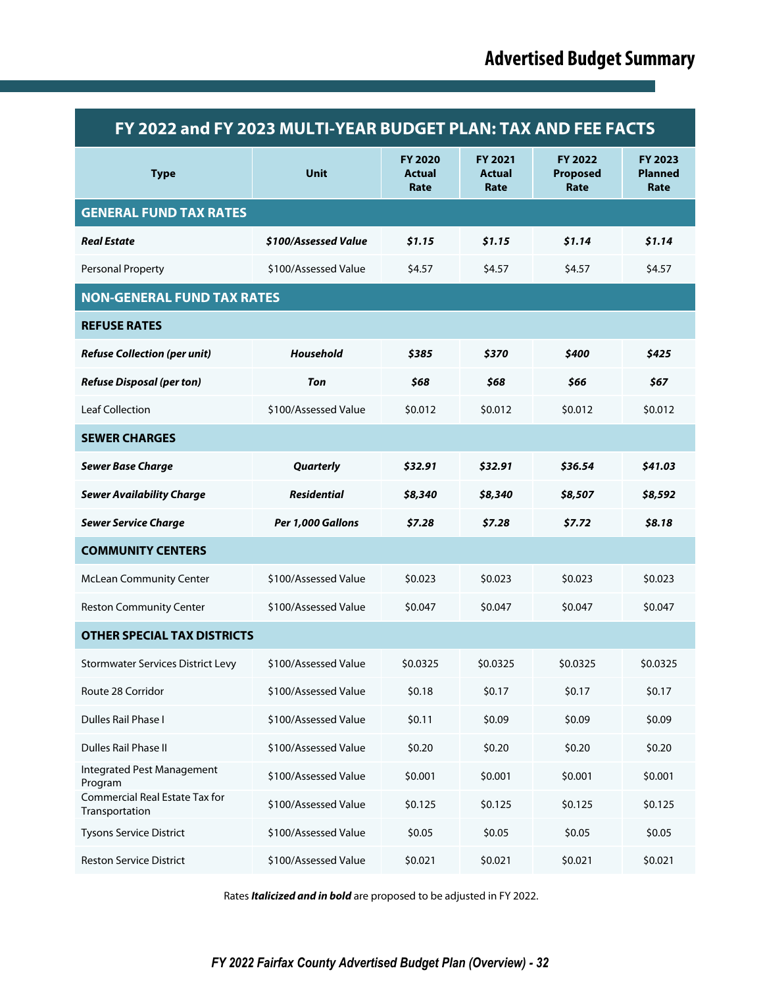| FY 2022 and FY 2023 MULTI-YEAR BUDGET PLAN: TAX AND FEE FACTS |                      |                                         |                                  |                             |                                          |  |  |
|---------------------------------------------------------------|----------------------|-----------------------------------------|----------------------------------|-----------------------------|------------------------------------------|--|--|
| <b>Type</b>                                                   | <b>Unit</b>          | <b>FY 2020</b><br><b>Actual</b><br>Rate | FY 2021<br><b>Actual</b><br>Rate | FY 2022<br>Proposed<br>Rate | <b>FY 2023</b><br><b>Planned</b><br>Rate |  |  |
| <b>GENERAL FUND TAX RATES</b>                                 |                      |                                         |                                  |                             |                                          |  |  |
| <b>Real Estate</b>                                            | \$100/Assessed Value | \$1.15                                  | \$1.15                           | \$1.14                      | \$1.14                                   |  |  |
| Personal Property                                             | \$100/Assessed Value | \$4.57                                  | \$4.57                           | \$4.57                      | \$4.57                                   |  |  |
| <b>NON-GENERAL FUND TAX RATES</b>                             |                      |                                         |                                  |                             |                                          |  |  |
| <b>REFUSE RATES</b>                                           |                      |                                         |                                  |                             |                                          |  |  |
| <b>Refuse Collection (per unit)</b>                           | <b>Household</b>     | \$385                                   | \$370                            | \$400                       | \$425                                    |  |  |
| <b>Refuse Disposal (per ton)</b>                              | Ton                  | \$68                                    | \$68                             | \$66                        | \$67                                     |  |  |
| <b>Leaf Collection</b>                                        | \$100/Assessed Value | \$0.012                                 | \$0.012                          | \$0.012                     | \$0.012                                  |  |  |
| <b>SEWER CHARGES</b>                                          |                      |                                         |                                  |                             |                                          |  |  |
| <b>Sewer Base Charge</b>                                      | <b>Quarterly</b>     | \$32.91                                 | \$32.91                          | \$36.54                     | \$41.03                                  |  |  |
| <b>Sewer Availability Charge</b>                              | <b>Residential</b>   | \$8,340                                 | \$8,340                          | \$8,507                     | \$8,592                                  |  |  |
| <b>Sewer Service Charge</b>                                   | Per 1,000 Gallons    | \$7.28                                  | \$7.28                           | \$7.72                      | \$8.18                                   |  |  |
| <b>COMMUNITY CENTERS</b>                                      |                      |                                         |                                  |                             |                                          |  |  |
| <b>McLean Community Center</b>                                | \$100/Assessed Value | \$0.023                                 | \$0.023                          | \$0.023                     | \$0.023                                  |  |  |
| <b>Reston Community Center</b>                                | \$100/Assessed Value | \$0.047                                 | \$0.047                          | \$0.047                     | \$0.047                                  |  |  |
| <b>OTHER SPECIAL TAX DISTRICTS</b>                            |                      |                                         |                                  |                             |                                          |  |  |
| <b>Stormwater Services District Levy</b>                      | \$100/Assessed Value | \$0.0325                                | \$0.0325                         | \$0.0325                    | \$0.0325                                 |  |  |
| Route 28 Corridor                                             | \$100/Assessed Value | \$0.18                                  | \$0.17                           | \$0.17                      | \$0.17                                   |  |  |
| <b>Dulles Rail Phase I</b>                                    | \$100/Assessed Value | \$0.11                                  | \$0.09                           | \$0.09                      | \$0.09                                   |  |  |
| <b>Dulles Rail Phase II</b>                                   | \$100/Assessed Value | \$0.20                                  | \$0.20                           | \$0.20                      | \$0.20                                   |  |  |
| Integrated Pest Management<br>Program                         | \$100/Assessed Value | \$0.001                                 | \$0.001                          | \$0.001                     | \$0.001                                  |  |  |
| Commercial Real Estate Tax for<br>Transportation              | \$100/Assessed Value | \$0.125                                 | \$0.125                          | \$0.125                     | \$0.125                                  |  |  |
| <b>Tysons Service District</b>                                | \$100/Assessed Value | \$0.05                                  | \$0.05                           | \$0.05                      | \$0.05                                   |  |  |
| <b>Reston Service District</b>                                | \$100/Assessed Value | \$0.021                                 | \$0.021                          | \$0.021                     | \$0.021                                  |  |  |

Rates *Italicized and in bold* are proposed to be adjusted in FY 2022.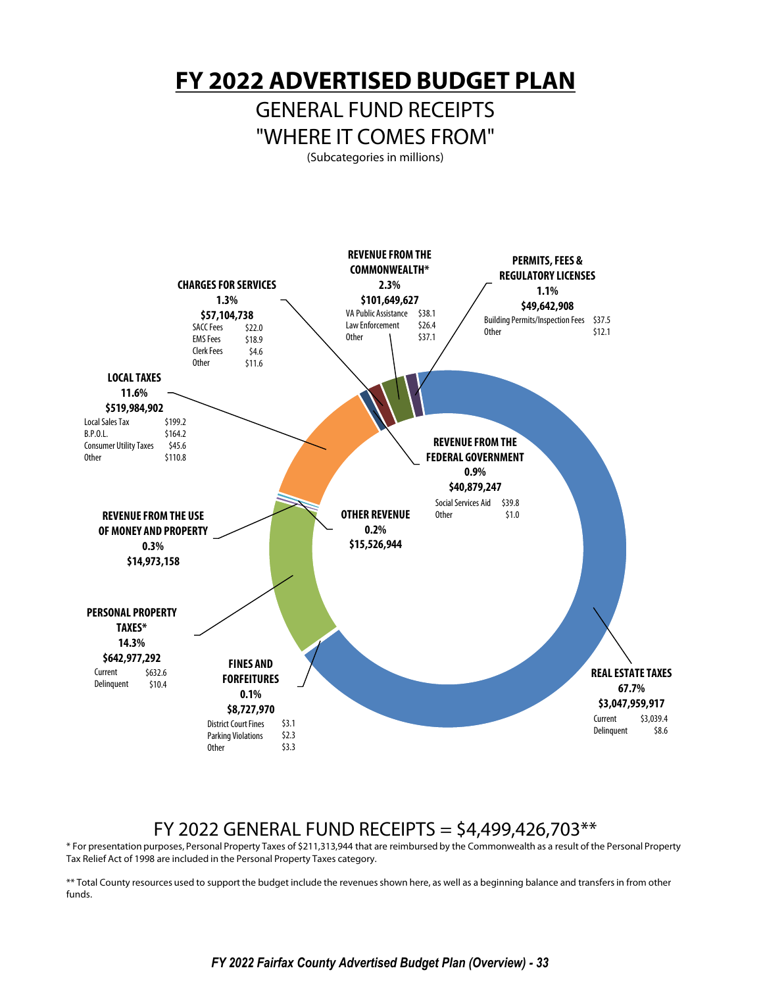**FY 2022 ADVERTISED BUDGET PLAN**

## GENERAL FUND RECEIPTS "WHERE IT COMES FROM"

(Subcategories in millions)



## FY 2022 GENERAL FUND RECEIPTS =  $$4,499,426,703**$

\* For presentation purposes, Personal Property Taxes of \$211,313,944 that are reimbursed by the Commonwealth as a result of the Personal Property Tax Relief Act of 1998 are included in the Personal Property Taxes category.

\*\* Total County resources used to support the budget include the revenues shown here, as well as a beginning balance and transfers in from other funds.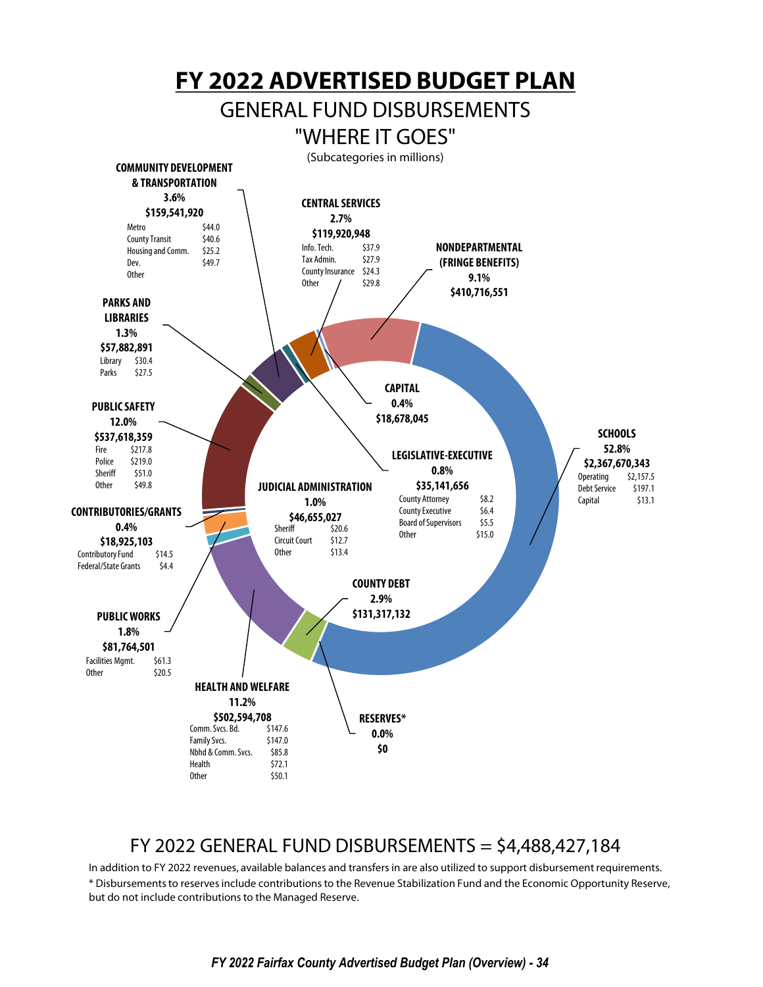

## FY 2022 GENERAL FUND DISBURSEMENTS = \$4,488,427,184

In addition to FY 2022 revenues, available balances and transfers in are also utilized to support disbursement requirements. \* Disbursements to reserves include contributions to the Revenue Stabilization Fund and the Economic Opportunity Reserve, but do not include contributions to the Managed Reserve.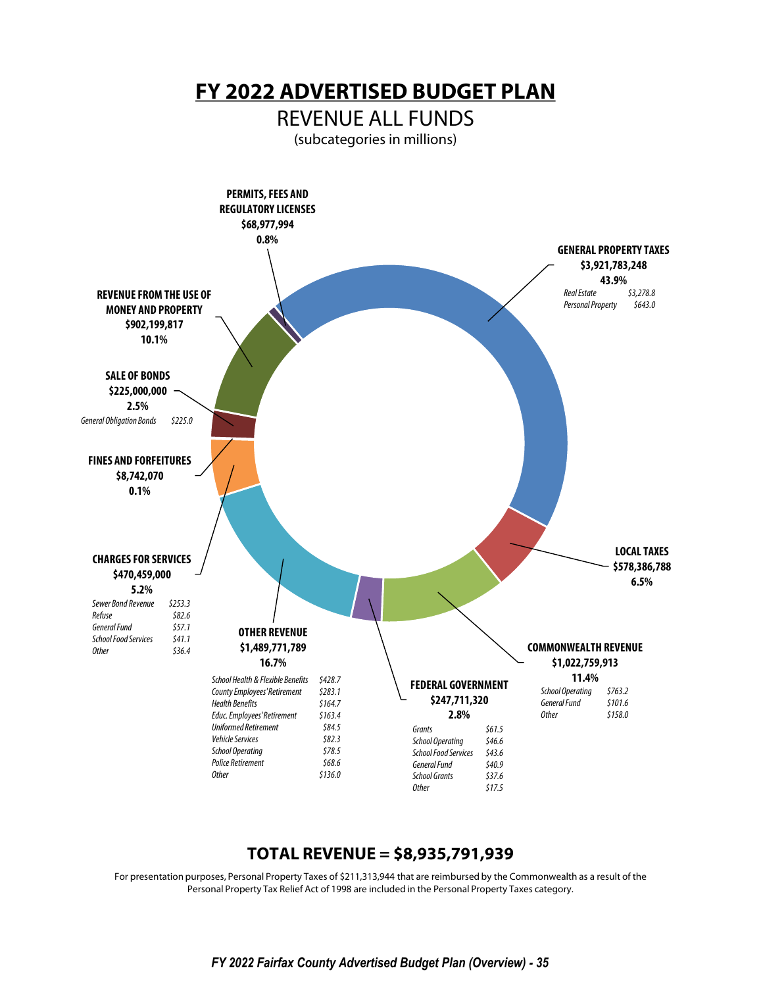**FY 2022 ADVERTISED BUDGET PLAN**

REVENUE ALL FUNDS

(subcategories in millions)



## **TOTAL REVENUE = \$8,935,791,939**

For presentation purposes, Personal Property Taxes of \$211,313,944 that are reimbursed by the Commonwealth as a result of the Personal Property Tax Relief Act of 1998 are included in the Personal Property Taxes category.